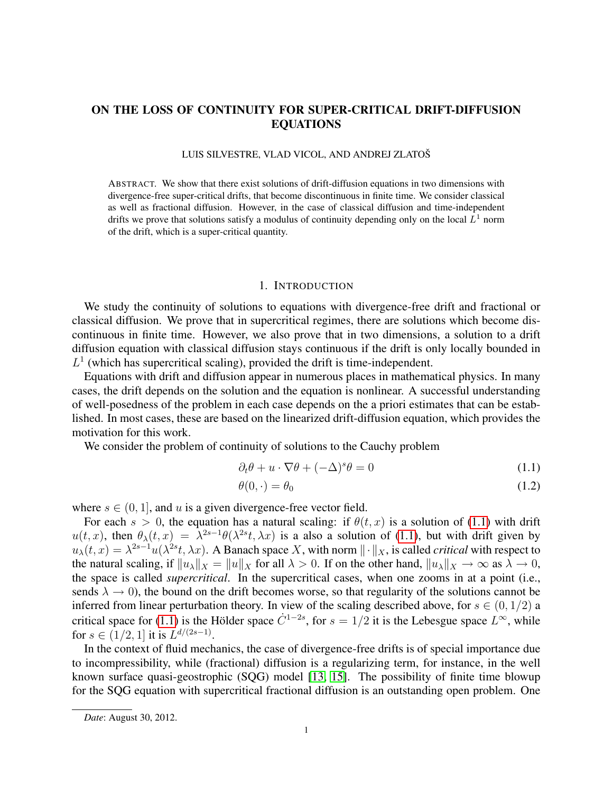# ON THE LOSS OF CONTINUITY FOR SUPER-CRITICAL DRIFT-DIFFUSION EQUATIONS

### LUIS SILVESTRE, VLAD VICOL, AND ANDREJ ZLATOŠ

ABSTRACT. We show that there exist solutions of drift-diffusion equations in two dimensions with divergence-free super-critical drifts, that become discontinuous in finite time. We consider classical as well as fractional diffusion. However, in the case of classical diffusion and time-independent drifts we prove that solutions satisfy a modulus of continuity depending only on the local  $L^1$  norm of the drift, which is a super-critical quantity.

### 1. INTRODUCTION

We study the continuity of solutions to equations with divergence-free drift and fractional or classical diffusion. We prove that in supercritical regimes, there are solutions which become discontinuous in finite time. However, we also prove that in two dimensions, a solution to a drift diffusion equation with classical diffusion stays continuous if the drift is only locally bounded in  $L<sup>1</sup>$  (which has supercritical scaling), provided the drift is time-independent.

Equations with drift and diffusion appear in numerous places in mathematical physics. In many cases, the drift depends on the solution and the equation is nonlinear. A successful understanding of well-posedness of the problem in each case depends on the a priori estimates that can be established. In most cases, these are based on the linearized drift-diffusion equation, which provides the motivation for this work.

We consider the problem of continuity of solutions to the Cauchy problem

$$
\partial_t \theta + u \cdot \nabla \theta + (-\Delta)^s \theta = 0 \tag{1.1}
$$

<span id="page-0-1"></span><span id="page-0-0"></span>
$$
\theta(0,\cdot) = \theta_0 \tag{1.2}
$$

where  $s \in (0, 1]$ , and u is a given divergence-free vector field.

For each  $s > 0$ , the equation has a natural scaling: if  $\theta(t, x)$  is a solution of [\(1.1\)](#page-0-0) with drift  $u(t, x)$ , then  $\theta_{\lambda}(t, x) = \lambda^{2s-1}\theta(\lambda^{2s}t, \lambda x)$  is a also a solution of [\(1.1\)](#page-0-0), but with drift given by  $u_\lambda(t,x) = \lambda^{2s-1} u(\lambda^{2s}t, \lambda x)$ . A Banach space X, with norm  $\|\cdot\|_X$ , is called *critical* with respect to the natural scaling, if  $||u_\lambda||_X = ||u||_X$  for all  $\lambda > 0$ . If on the other hand,  $||u_\lambda||_X \to \infty$  as  $\lambda \to 0$ , the space is called *supercritical*. In the supercritical cases, when one zooms in at a point (i.e., sends  $\lambda \to 0$ ), the bound on the drift becomes worse, so that regularity of the solutions cannot be inferred from linear perturbation theory. In view of the scaling described above, for  $s \in (0, 1/2)$  a critical space for [\(1.1\)](#page-0-0) is the Hölder space  $\dot{C}^{1-2s}$ , for  $s = 1/2$  it is the Lebesgue space  $L^{\infty}$ , while for  $s \in (1/2, 1]$  it is  $L^{d/(2s-1)}$ .

In the context of fluid mechanics, the case of divergence-free drifts is of special importance due to incompressibility, while (fractional) diffusion is a regularizing term, for instance, in the well known surface quasi-geostrophic (SQG) model [\[13,](#page-25-0) [15\]](#page-25-1). The possibility of finite time blowup for the SQG equation with supercritical fractional diffusion is an outstanding open problem. One

*Date*: August 30, 2012.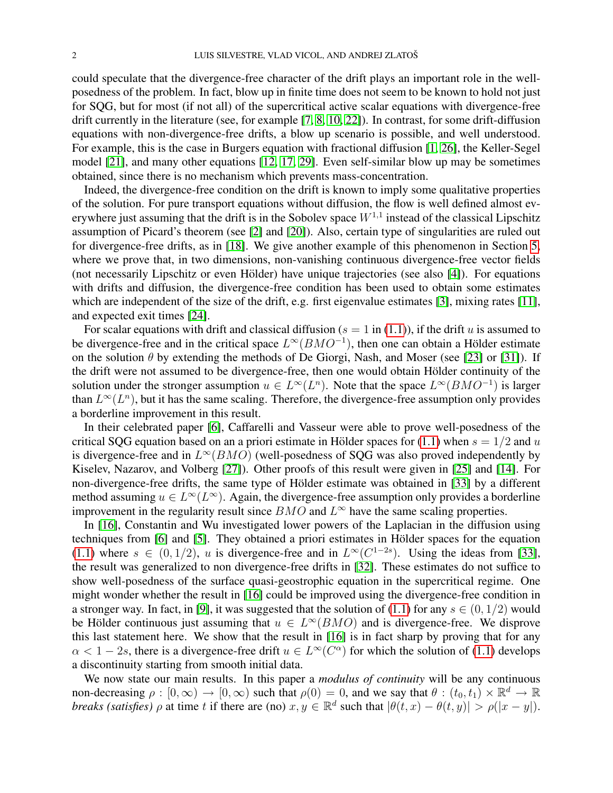could speculate that the divergence-free character of the drift plays an important role in the wellposedness of the problem. In fact, blow up in finite time does not seem to be known to hold not just for SQG, but for most (if not all) of the supercritical active scalar equations with divergence-free drift currently in the literature (see, for example [\[7,](#page-25-2) [8,](#page-25-3) [10,](#page-25-4) [22\]](#page-26-0)). In contrast, for some drift-diffusion equations with non-divergence-free drifts, a blow up scenario is possible, and well understood. For example, this is the case in Burgers equation with fractional diffusion [\[1,](#page-25-5) [26\]](#page-26-1), the Keller-Segel model [\[21\]](#page-26-2), and many other equations [\[12,](#page-25-6) [17,](#page-25-7) [29\]](#page-26-3). Even self-similar blow up may be sometimes obtained, since there is no mechanism which prevents mass-concentration.

Indeed, the divergence-free condition on the drift is known to imply some qualitative properties of the solution. For pure transport equations without diffusion, the flow is well defined almost everywhere just assuming that the drift is in the Sobolev space  $W^{1,1}$  instead of the classical Lipschitz assumption of Picard's theorem (see [\[2\]](#page-25-8) and [\[20\]](#page-25-9)). Also, certain type of singularities are ruled out for divergence-free drifts, as in [\[18\]](#page-25-10). We give another example of this phenomenon in Section [5,](#page-14-0) where we prove that, in two dimensions, non-vanishing continuous divergence-free vector fields (not necessarily Lipschitz or even Holder) have unique trajectories (see also [\[4\]](#page-25-11)). For equations ¨ with drifts and diffusion, the divergence-free condition has been used to obtain some estimates which are independent of the size of the drift, e.g. first eigenvalue estimates [\[3\]](#page-25-12), mixing rates [\[11\]](#page-25-13), and expected exit times [\[24\]](#page-26-4).

For scalar equations with drift and classical diffusion ( $s = 1$  in [\(1.1\)](#page-0-0)), if the drift u is assumed to be divergence-free and in the critical space  $L^{\infty}(BMO^{-1})$ , then one can obtain a Hölder estimate on the solution  $\theta$  by extending the methods of De Giorgi, Nash, and Moser (see [\[23\]](#page-26-5) or [\[31\]](#page-26-6)). If the drift were not assumed to be divergence-free, then one would obtain Hölder continuity of the solution under the stronger assumption  $u \in L^{\infty}(L^n)$ . Note that the space  $L^{\infty}(BMO^{-1})$  is larger than  $L^{\infty}(L^n)$ , but it has the same scaling. Therefore, the divergence-free assumption only provides a borderline improvement in this result.

In their celebrated paper [\[6\]](#page-25-14), Caffarelli and Vasseur were able to prove well-posedness of the critical SQG equation based on an a priori estimate in Hölder spaces for [\(1.1\)](#page-0-0) when  $s = 1/2$  and u is divergence-free and in  $L^{\infty}(BMO)$  (well-posedness of SQG was also proved independently by Kiselev, Nazarov, and Volberg [\[27\]](#page-26-7)). Other proofs of this result were given in [\[25\]](#page-26-8) and [\[14\]](#page-25-15). For non-divergence-free drifts, the same type of Hölder estimate was obtained in [\[33\]](#page-26-9) by a different method assuming  $u \in L^{\infty}(L^{\infty})$ . Again, the divergence-free assumption only provides a borderline improvement in the regularity result since  $BMO$  and  $L^{\infty}$  have the same scaling properties.

In [\[16\]](#page-25-16), Constantin and Wu investigated lower powers of the Laplacian in the diffusion using techniques from [\[6\]](#page-25-14) and [\[5\]](#page-25-17). They obtained a priori estimates in Hölder spaces for the equation [\(1.1\)](#page-0-0) where  $s \in (0, 1/2)$ , u is divergence-free and in  $L^{\infty}(C^{1-2s})$ . Using the ideas from [\[33\]](#page-26-9), the result was generalized to non divergence-free drifts in [\[32\]](#page-26-10). These estimates do not suffice to show well-posedness of the surface quasi-geostrophic equation in the supercritical regime. One might wonder whether the result in [\[16\]](#page-25-16) could be improved using the divergence-free condition in a stronger way. In fact, in [\[9\]](#page-25-18), it was suggested that the solution of [\(1.1\)](#page-0-0) for any  $s \in (0, 1/2)$  would be Hölder continuous just assuming that  $u \in L^{\infty}(BMO)$  and is divergence-free. We disprove this last statement here. We show that the result in [\[16\]](#page-25-16) is in fact sharp by proving that for any  $\alpha < 1-2s$ , there is a divergence-free drift  $u \in L^{\infty}(C^{\alpha})$  for which the solution of [\(1.1\)](#page-0-0) develops a discontinuity starting from smooth initial data.

We now state our main results. In this paper a *modulus of continuity* will be any continuous non-decreasing  $\rho : [0, \infty) \to [0, \infty)$  such that  $\rho(0) = 0$ , and we say that  $\theta : (t_0, t_1) \times \mathbb{R}^d \to \mathbb{R}$ *breaks (satisfies)*  $\rho$  at time t if there are (no)  $x, y \in \mathbb{R}^d$  such that  $|\theta(t, x) - \theta(t, y)| > \rho(|x - y|)$ .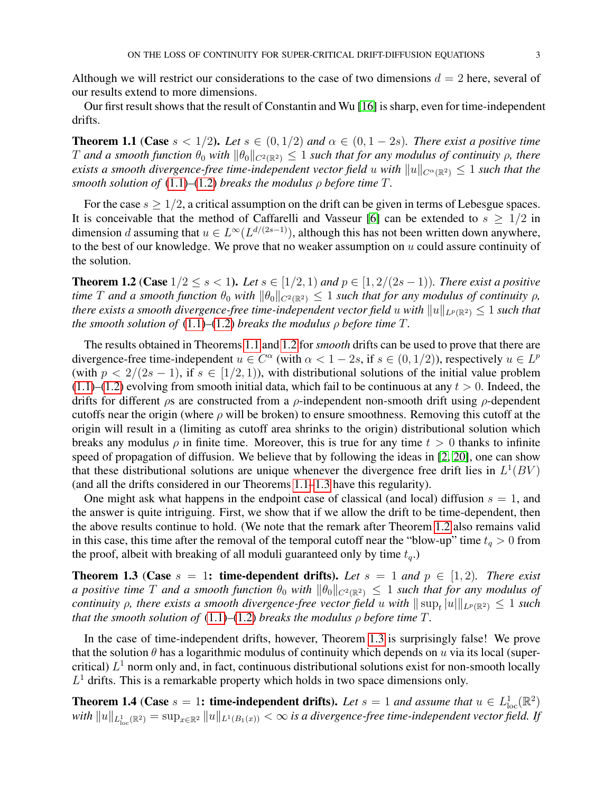Although we will restrict our considerations to the case of two dimensions  $d = 2$  here, several of our results extend to more dimensions.

Our first result shows that the result of Constantin and Wu [\[16\]](#page-25-16) is sharp, even for time-independent drifts.

<span id="page-2-0"></span>**Theorem 1.1** (Case  $s < 1/2$ ). Let  $s \in (0, 1/2)$  and  $\alpha \in (0, 1-2s)$ . There exist a positive time T and a smooth function  $\theta_0$  with  $\|\theta_0\|_{C^2(\mathbb{R}^2)} \leq 1$  *such that for any modulus of continuity*  $\rho$ *, there exists a smooth divergence-free time-independent vector field* u *with*  $||u||_{C^{\alpha}(\mathbb{R}^2)} \leq 1$  *such that the smooth solution of*  $(1.1)–(1.2)$  $(1.1)–(1.2)$  $(1.1)–(1.2)$  *breaks the modulus*  $\rho$  *before time*  $T$ *.* 

For the case  $s \geq 1/2$ , a critical assumption on the drift can be given in terms of Lebesgue spaces. It is conceivable that the method of Caffarelli and Vasseur [\[6\]](#page-25-14) can be extended to  $s \geq 1/2$  in dimension d assuming that  $u \in L^{\infty}(L^{d/(2s-1)})$ , although this has not been written down anywhere, to the best of our knowledge. We prove that no weaker assumption on  $u$  could assure continuity of the solution.

<span id="page-2-1"></span>**Theorem 1.2 (Case**  $1/2 \leq s < 1$ ). Let  $s \in [1/2, 1)$  and  $p \in [1, 2/(2s-1))$ . There exist a positive *time T* and a smooth function  $\theta_0$  *with*  $\|\theta_0\|_{C^2(\mathbb{R}^2)} \leq 1$  *such that for any modulus of continuity*  $\rho$ *, there exists a smooth divergence-free time-independent vector field u with*  $||u||_{L^p(\mathbb{R}^2)} \leq 1$  *such that the smooth solution of*  $(1.1)$ – $(1.2)$  *breaks the modulus*  $\rho$  *before time*  $T$ *.* 

The results obtained in Theorems [1.1](#page-2-0) and [1.2](#page-2-1) for *smooth* drifts can be used to prove that there are divergence-free time-independent  $u \in C^{\alpha}$  (with  $\alpha < 1 - 2s$ , if  $s \in (0, 1/2)$ ), respectively  $u \in L^p$ (with  $p < 2/(2s - 1)$ , if  $s \in [1/2, 1)$ ), with distributional solutions of the initial value problem  $(1.1)$ – $(1.2)$  evolving from smooth initial data, which fail to be continuous at any  $t > 0$ . Indeed, the drifts for different  $\rho s$  are constructed from a  $\rho$ -independent non-smooth drift using  $\rho$ -dependent cutoffs near the origin (where  $\rho$  will be broken) to ensure smoothness. Removing this cutoff at the origin will result in a (limiting as cutoff area shrinks to the origin) distributional solution which breaks any modulus  $\rho$  in finite time. Moreover, this is true for any time  $t > 0$  thanks to infinite speed of propagation of diffusion. We believe that by following the ideas in [\[2,](#page-25-8) [20\]](#page-25-9), one can show that these distributional solutions are unique whenever the divergence free drift lies in  $L^1(BV)$ (and all the drifts considered in our Theorems [1.1–](#page-2-0)[1.3](#page-2-2) have this regularity).

One might ask what happens in the endpoint case of classical (and local) diffusion  $s = 1$ , and the answer is quite intriguing. First, we show that if we allow the drift to be time-dependent, then the above results continue to hold. (We note that the remark after Theorem [1.2](#page-2-1) also remains valid in this case, this time after the removal of the temporal cutoff near the "blow-up" time  $t_q > 0$  from the proof, albeit with breaking of all moduli guaranteed only by time  $t_q$ .)

<span id="page-2-2"></span>**Theorem 1.3** (Case  $s = 1$ : time-dependent drifts). Let  $s = 1$  and  $p \in [1, 2)$ . There exist *a positive time* T *and a smooth function*  $\theta_0$  *with*  $\|\theta_0\|_{C^2(\mathbb{R}^2)} \leq 1$  *such that for any modulus of continuity*  $\rho$ , there exists a smooth divergence-free vector field u with  $\|\sup_t |u|\|_{L^p(\mathbb{R}^2)} \leq 1$  such *that the smooth solution of*  $(1.1)–(1.2)$  $(1.1)–(1.2)$  $(1.1)–(1.2)$  *breaks the modulus*  $\rho$  *before time*  $T$ *.* 

In the case of time-independent drifts, however, Theorem [1.3](#page-2-2) is surprisingly false! We prove that the solution  $\theta$  has a logarithmic modulus of continuity which depends on u via its local (supercritical)  $L^1$  norm only and, in fact, continuous distributional solutions exist for non-smooth locally  $L<sup>1</sup>$  drifts. This is a remarkable property which holds in two space dimensions only.

<span id="page-2-3"></span>**Theorem 1.4** (Case  $s = 1$ : time-independent drifts). Let  $s = 1$  and assume that  $u \in L^1_{loc}(\mathbb{R}^2)$  $with\ \|u\|_{L^1_{\rm loc}(\Bbb R^2)}=\sup_{x\in \Bbb R^2}\|u\|_{L^1(B_1(x))}<\infty$  *is a divergence-free time-independent vector field. If*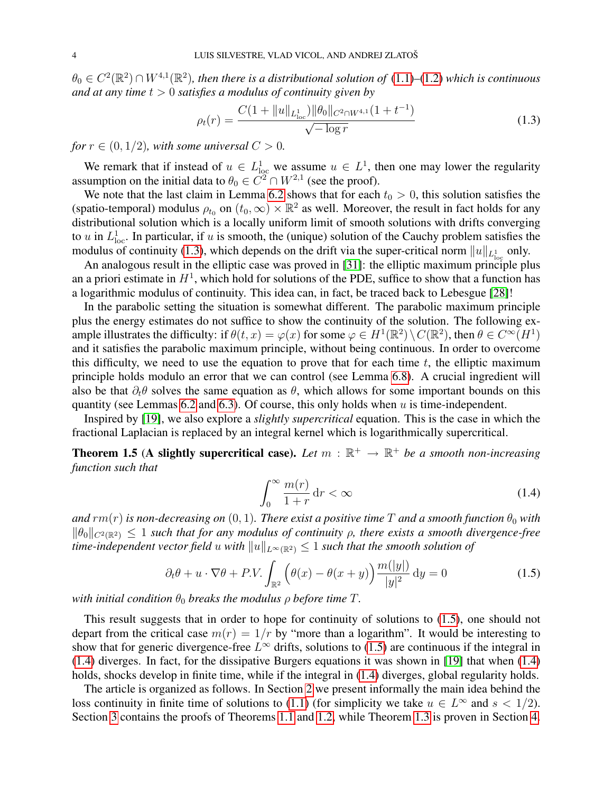$\theta_0 \in C^2(\mathbb{R}^2) \cap W^{4,1}(\mathbb{R}^2)$ , then there is a distributional solution of  $(1.1)$ – $(1.2)$  which is continuous *and at any time* t > 0 *satisfies a modulus of continuity given by*

<span id="page-3-0"></span>
$$
\rho_t(r) = \frac{C(1 + \|u\|_{L^1_{loc}}) \|\theta_0\|_{C^2 \cap W^{4,1}} (1 + t^{-1})}{\sqrt{-\log r}} \tag{1.3}
$$

*for*  $r \in (0, 1/2)$ *, with some universal*  $C > 0$ *.* 

We remark that if instead of  $u \in L^1_{loc}$  we assume  $u \in L^1$ , then one may lower the regularity assumption on the initial data to  $\theta_0 \in C^2 \cap W^{2,1}$  (see the proof).

We note that the last claim in Lemma [6.2](#page-17-0) shows that for each  $t_0 > 0$ , this solution satisfies the (spatio-temporal) modulus  $\rho_{t_0}$  on  $(t_0, \infty) \times \mathbb{R}^2$  as well. Moreover, the result in fact holds for any distributional solution which is a locally uniform limit of smooth solutions with drifts converging to u in  $L^1_{loc}$ . In particular, if u is smooth, the (unique) solution of the Cauchy problem satisfies the modulus of continuity [\(1.3\)](#page-3-0), which depends on the drift via the super-critical norm  $||u||_{L^1_{loc}}$  only.

An analogous result in the elliptic case was proved in [\[31\]](#page-26-6): the elliptic maximum principle plus an a priori estimate in  $H<sup>1</sup>$ , which hold for solutions of the PDE, suffice to show that a function has a logarithmic modulus of continuity. This idea can, in fact, be traced back to Lebesgue [\[28\]](#page-26-11)!

In the parabolic setting the situation is somewhat different. The parabolic maximum principle plus the energy estimates do not suffice to show the continuity of the solution. The following example illustrates the difficulty: if  $\theta(t, x) = \varphi(x)$  for some  $\varphi \in H^1(\mathbb{R}^2) \setminus C(\mathbb{R}^2)$ , then  $\theta \in C^\infty(H^1)$ and it satisfies the parabolic maximum principle, without being continuous. In order to overcome this difficulty, we need to use the equation to prove that for each time  $t$ , the elliptic maximum principle holds modulo an error that we can control (see Lemma [6.8\)](#page-19-0). A crucial ingredient will also be that  $\partial_t \theta$  solves the same equation as  $\theta$ , which allows for some important bounds on this quantity (see Lemmas [6.2](#page-17-0) and [6.3\)](#page-18-0). Of course, this only holds when  $u$  is time-independent.

Inspired by [\[19\]](#page-25-19), we also explore a *slightly supercritical* equation. This is the case in which the fractional Laplacian is replaced by an integral kernel which is logarithmically supercritical.

<span id="page-3-3"></span>**Theorem 1.5** (A slightly supercritical case). Let  $m : \mathbb{R}^+ \to \mathbb{R}^+$  be a smooth non-increasing *function such that*

<span id="page-3-2"></span><span id="page-3-1"></span>
$$
\int_0^\infty \frac{m(r)}{1+r} \, \mathrm{d}r < \infty \tag{1.4}
$$

*and*  $rm(r)$  *is non-decreasing on* (0, 1)*. There exist a positive time* T *and* a *smooth function*  $\theta_0$  *with*  $\|\theta_0\|_{C^2(\mathbb{R}^2)} \leq 1$  *such that for any modulus of continuity*  $\rho$ *, there exists a smooth divergence-free time-independent vector field* u *with*  $||u||_{L^{\infty}(\mathbb{R}^2)} \leq 1$  *such that the smooth solution of* 

$$
\partial_t \theta + u \cdot \nabla \theta + P.V. \int_{\mathbb{R}^2} \left( \theta(x) - \theta(x+y) \right) \frac{m(|y|)}{|y|^2} dy = 0 \tag{1.5}
$$

*with initial condition*  $\theta_0$  *breaks the modulus*  $\rho$  *before time*  $T$ *.* 

This result suggests that in order to hope for continuity of solutions to [\(1.5\)](#page-3-1), one should not depart from the critical case  $m(r) = 1/r$  by "more than a logarithm". It would be interesting to show that for generic divergence-free  $L^{\infty}$  drifts, solutions to [\(1.5\)](#page-3-1) are continuous if the integral in [\(1.4\)](#page-3-2) diverges. In fact, for the dissipative Burgers equations it was shown in [\[19\]](#page-25-19) that when [\(1.4\)](#page-3-2) holds, shocks develop in finite time, while if the integral in [\(1.4\)](#page-3-2) diverges, global regularity holds.

The article is organized as follows. In Section [2](#page-4-0) we present informally the main idea behind the loss continuity in finite time of solutions to [\(1.1\)](#page-0-0) (for simplicity we take  $u \in L^{\infty}$  and  $s < 1/2$ ). Section [3](#page-6-0) contains the proofs of Theorems [1.1](#page-2-0) and [1.2,](#page-2-1) while Theorem [1.3](#page-2-2) is proven in Section [4.](#page-13-0)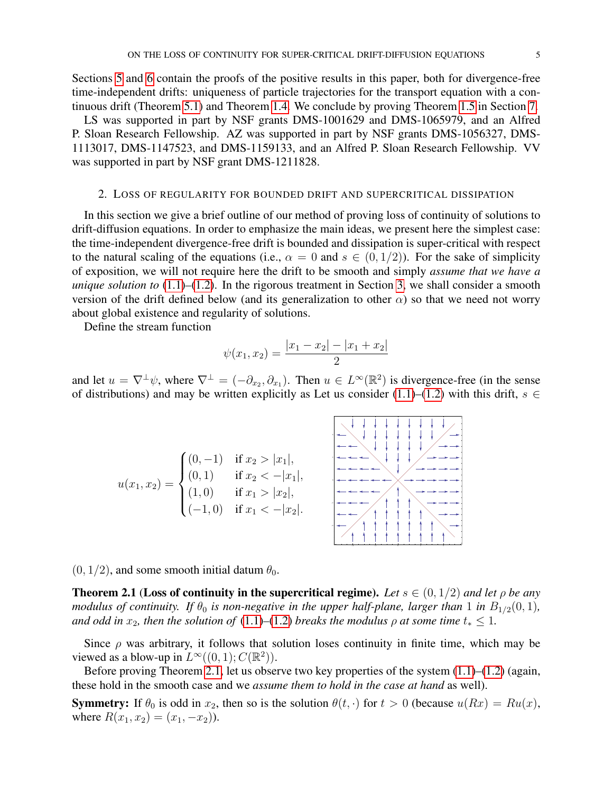Sections [5](#page-14-0) and [6](#page-15-0) contain the proofs of the positive results in this paper, both for divergence-free time-independent drifts: uniqueness of particle trajectories for the transport equation with a continuous drift (Theorem [5.1\)](#page-14-1) and Theorem [1.4.](#page-2-3) We conclude by proving Theorem [1.5](#page-3-3) in Section [7.](#page-21-0)

LS was supported in part by NSF grants DMS-1001629 and DMS-1065979, and an Alfred P. Sloan Research Fellowship. AZ was supported in part by NSF grants DMS-1056327, DMS-1113017, DMS-1147523, and DMS-1159133, and an Alfred P. Sloan Research Fellowship. VV was supported in part by NSF grant DMS-1211828.

### 2. LOSS OF REGULARITY FOR BOUNDED DRIFT AND SUPERCRITICAL DISSIPATION

<span id="page-4-0"></span>In this section we give a brief outline of our method of proving loss of continuity of solutions to drift-diffusion equations. In order to emphasize the main ideas, we present here the simplest case: the time-independent divergence-free drift is bounded and dissipation is super-critical with respect to the natural scaling of the equations (i.e.,  $\alpha = 0$  and  $s \in (0, 1/2)$ ). For the sake of simplicity of exposition, we will not require here the drift to be smooth and simply *assume that we have a unique solution to* [\(1.1\)](#page-0-0)*–*[\(1.2\)](#page-0-1). In the rigorous treatment in Section [3,](#page-6-0) we shall consider a smooth version of the drift defined below (and its generalization to other  $\alpha$ ) so that we need not worry about global existence and regularity of solutions.

Define the stream function

$$
\psi(x_1, x_2) = \frac{|x_1 - x_2| - |x_1 + x_2|}{2}
$$

and let  $u = \nabla^{\perp}\psi$ , where  $\nabla^{\perp} = (-\partial_{x_2}, \partial_{x_1})$ . Then  $u \in L^{\infty}(\mathbb{R}^2)$  is divergence-free (in the sense of distributions) and may be written explicitly as Let us consider [\(1.1\)](#page-0-0)–[\(1.2\)](#page-0-1) with this drift,  $s \in$ 



 $(0, 1/2)$ , and some smooth initial datum  $\theta_0$ .

<span id="page-4-1"></span>**Theorem 2.1** (Loss of continuity in the supercritical regime). Let  $s \in (0, 1/2)$  and let  $\rho$  be any *modulus of continuity. If*  $\theta_0$  *is non-negative in the upper half-plane, larger than* 1 *in*  $B_{1/2}(0,1)$ *, and odd in*  $x_2$ *, then the solution of* [\(1.1\)](#page-0-0)–[\(1.2\)](#page-0-1) *breaks the modulus*  $\rho$  *at some time*  $t_* \leq 1$ *.* 

Since  $\rho$  was arbitrary, it follows that solution loses continuity in finite time, which may be viewed as a blow-up in  $L^{\infty}((0, 1); C(\mathbb{R}^2))$ .

Before proving Theorem [2.1,](#page-4-1) let us observe two key properties of the system [\(1.1\)](#page-0-0)–[\(1.2\)](#page-0-1) (again, these hold in the smooth case and we *assume them to hold in the case at hand* as well).

**Symmetry:** If  $\theta_0$  is odd in  $x_2$ , then so is the solution  $\theta(t, \cdot)$  for  $t > 0$  (because  $u(Rx) = Ru(x)$ , where  $R(x_1, x_2) = (x_1, -x_2)$ .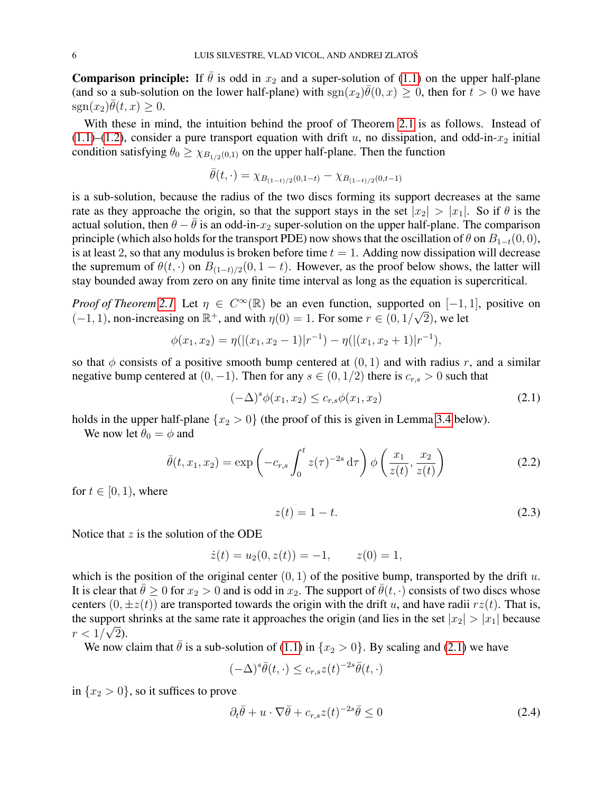**Comparison principle:** If  $\bar{\theta}$  is odd in  $x_2$  and a super-solution of [\(1.1\)](#page-0-0) on the upper half-plane (and so a sub-solution on the lower half-plane) with  $sgn(x_2)\bar{\theta}(0, x) \geq 0$ , then for  $t > 0$  we have  $\text{sgn}(x_2)\overline{\theta}(t,x) \geq 0.$ 

With these in mind, the intuition behind the proof of Theorem [2.1](#page-4-1) is as follows. Instead of  $(1.1)$ – $(1.2)$ , consider a pure transport equation with drift u, no dissipation, and odd-in- $x_2$  initial condition satisfying  $\theta_0 \geq \chi_{B_{1/2}(0,1)}$  on the upper half-plane. Then the function

$$
\bar{\theta}(t,\cdot) = \chi_{B_{(1-t)/2}(0,1-t)} - \chi_{B_{(1-t)/2}(0,t-1)}
$$

is a sub-solution, because the radius of the two discs forming its support decreases at the same rate as they approache the origin, so that the support stays in the set  $|x_2| > |x_1|$ . So if  $\theta$  is the actual solution, then  $\theta - \bar{\theta}$  is an odd-in- $x_2$  super-solution on the upper half-plane. The comparison principle (which also holds for the transport PDE) now shows that the oscillation of  $\theta$  on  $B_{1-t}(0, 0)$ , is at least 2, so that any modulus is broken before time  $t = 1$ . Adding now dissipation will decrease the supremum of  $\theta(t, \cdot)$  on  $B_{(1-t)/2}(0, 1-t)$ . However, as the proof below shows, the latter will stay bounded away from zero on any finite time interval as long as the equation is supercritical.

*Proof of Theorem [2.1.](#page-4-1)* Let  $\eta \in C^{\infty}(\mathbb{R})$  be an even function, supported on [-1, 1], positive on  $(-1, 1)$ , non-increasing on  $\mathbb{R}^+$ , and with  $\eta(0) = 1$ . For some  $r \in (0, 1/\sqrt{2})$ , we let

$$
\phi(x_1, x_2) = \eta(|(x_1, x_2 - 1)|r^{-1}) - \eta(|(x_1, x_2 + 1)|r^{-1}),
$$

so that  $\phi$  consists of a positive smooth bump centered at  $(0, 1)$  and with radius r, and a similar negative bump centered at  $(0, -1)$ . Then for any  $s \in (0, 1/2)$  there is  $c_{r,s} > 0$  such that

$$
(-\Delta)^s \phi(x_1, x_2) \le c_{r,s} \phi(x_1, x_2)
$$
\n(2.1)

holds in the upper half-plane  $\{x_2 > 0\}$  (the proof of this is given in Lemma [3.4](#page-9-0) below).

We now let  $\theta_0 = \phi$  and

$$
\bar{\theta}(t, x_1, x_2) = \exp\left(-c_{r,s} \int_0^t z(\tau)^{-2s} d\tau\right) \phi\left(\frac{x_1}{z(t)}, \frac{x_2}{z(t)}\right)
$$
(2.2)

for  $t \in [0, 1)$ , where

<span id="page-5-2"></span><span id="page-5-1"></span><span id="page-5-0"></span>
$$
z(t) = 1 - t.
$$
 (2.3)

Notice that  $z$  is the solution of the ODE

$$
\dot{z}(t) = u_2(0, z(t)) = -1, \qquad z(0) = 1,
$$

which is the position of the original center  $(0, 1)$  of the positive bump, transported by the drift u. It is clear that  $\bar{\theta} \ge 0$  for  $x_2 > 0$  and is odd in  $x_2$ . The support of  $\bar{\theta}(t, \cdot)$  consists of two discs whose centers  $(0, \pm z(t))$  are transported towards the origin with the drift u, and have radii  $rz(t)$ . That is, the support shrinks at the same rate it approaches the origin (and lies in the set  $|x_2| > |x_1|$  because  $r < 1/\sqrt{2}$ ).

We now claim that  $\bar{\theta}$  is a sub-solution of [\(1.1\)](#page-0-0) in  $\{x_2 > 0\}$ . By scaling and [\(2.1\)](#page-5-0) we have

$$
(-\Delta)^s \bar{\theta}(t,\cdot) \leq c_{r,s} z(t)^{-2s} \bar{\theta}(t,\cdot)
$$

in  $\{x_2 > 0\}$ , so it suffices to prove

$$
\partial_t \bar{\theta} + u \cdot \nabla \bar{\theta} + c_{r,s} z(t)^{-2s} \bar{\theta} \le 0 \tag{2.4}
$$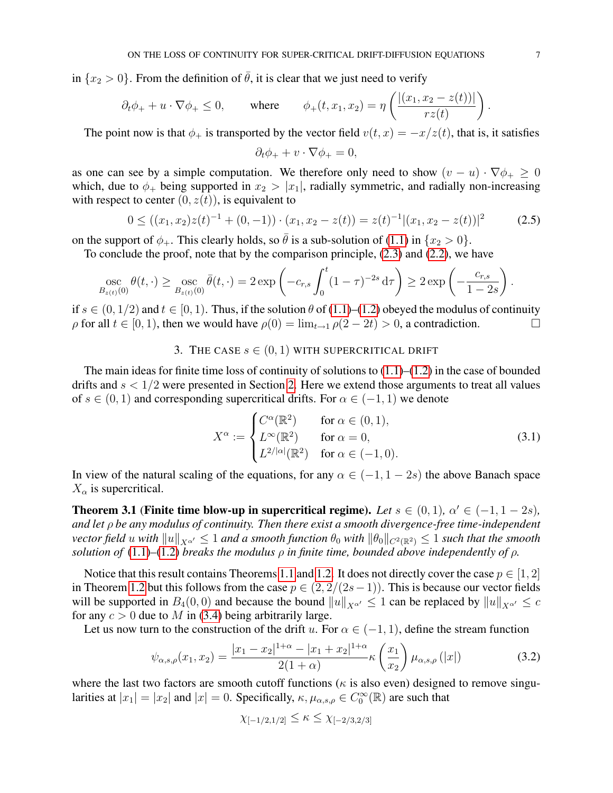in  $\{x_2 > 0\}$ . From the definition of  $\bar{\theta}$ , it is clear that we just need to verify

$$
\partial_t \phi_+ + u \cdot \nabla \phi_+ \le 0
$$
, where  $\phi_+(t, x_1, x_2) = \eta \left( \frac{|(x_1, x_2 - z(t))|}{r z(t)} \right)$ .

The point now is that  $\phi_+$  is transported by the vector field  $v(t, x) = -x/z(t)$ , that is, it satisfies

$$
\partial_t \phi_+ + v \cdot \nabla \phi_+ = 0,
$$

as one can see by a simple computation. We therefore only need to show  $(v - u) \cdot \nabla \phi_+ \geq 0$ which, due to  $\phi_+$  being supported in  $x_2 > |x_1|$ , radially symmetric, and radially non-increasing with respect to center  $(0, z(t))$ , is equivalent to

<span id="page-6-3"></span>
$$
0 \le ((x_1, x_2)z(t)^{-1} + (0, -1)) \cdot (x_1, x_2 - z(t)) = z(t)^{-1} |(x_1, x_2 - z(t))|^2 \tag{2.5}
$$

on the support of  $\phi_+$ . This clearly holds, so  $\theta$  is a sub-solution of [\(1.1\)](#page-0-0) in  $\{x_2 > 0\}$ .

To conclude the proof, note that by the comparison principle, [\(2.3\)](#page-5-1) and [\(2.2\)](#page-5-2), we have

$$
\operatorname*{osc}_{B_{z(t)}(0)} \theta(t,\cdot) \ge \operatorname*{osc}_{B_{z(t)}(0)} \bar{\theta}(t,\cdot) = 2 \exp \left(-c_{r,s} \int_0^t (1-\tau)^{-2s} d\tau \right) \ge 2 \exp \left(-\frac{c_{r,s}}{1-2s}\right).
$$

if  $s \in (0, 1/2)$  and  $t \in [0, 1)$ . Thus, if the solution  $\theta$  of [\(1.1\)](#page-0-0)–[\(1.2\)](#page-0-1) obeyed the modulus of continuity  $\rho$  for all  $t \in [0, 1)$ , then we would have  $\rho(0) = \lim_{t \to 1} \rho(2 - 2t) > 0$ , a contradiction.

## 3. THE CASE  $s \in (0,1)$  with supercritical drift

<span id="page-6-0"></span>The main ideas for finite time loss of continuity of solutions to  $(1.1)$ – $(1.2)$  in the case of bounded drifts and  $s < 1/2$  were presented in Section [2.](#page-4-0) Here we extend those arguments to treat all values of  $s \in (0, 1)$  and corresponding supercritical drifts. For  $\alpha \in (-1, 1)$  we denote

$$
X^{\alpha} := \begin{cases} C^{\alpha}(\mathbb{R}^2) & \text{for } \alpha \in (0, 1), \\ L^{\infty}(\mathbb{R}^2) & \text{for } \alpha = 0, \\ L^{2/|\alpha|}(\mathbb{R}^2) & \text{for } \alpha \in (-1, 0). \end{cases}
$$
(3.1)

In view of the natural scaling of the equations, for any  $\alpha \in (-1, 1 - 2s)$  the above Banach space  $X_{\alpha}$  is supercritical.

<span id="page-6-2"></span>**Theorem 3.1** (Finite time blow-up in supercritical regime). Let  $s \in (0,1)$ ,  $\alpha' \in (-1, 1-2s)$ , *and let* ρ *be any modulus of continuity. Then there exist a smooth divergence-free time-independent vector field* u *with*  $||u||_{X^{\alpha'}} \leq 1$  *and a smooth function*  $\theta_0$  *with*  $||\theta_0||_{C^2(\mathbb{R}^2)} \leq 1$  *such that the smooth solution of* [\(1.1\)](#page-0-0)–[\(1.2\)](#page-0-1) *breaks the modulus*  $\rho$  *in finite time, bounded above independently of*  $\rho$ *.* 

Notice that this result contains Theorems [1.1](#page-2-0) and [1.2.](#page-2-1) It does not directly cover the case  $p \in [1, 2]$ in Theorem [1.2](#page-2-1) but this follows from the case  $p \in (2, 2/(2s-1))$ . This is because our vector fields will be supported in  $B_4(0,0)$  and because the bound  $||u||_{X^{\alpha'}} \le 1$  can be replaced by  $||u||_{X^{\alpha'}} \le c$ for any  $c > 0$  due to M in [\(3.4\)](#page-7-0) being arbitrarily large.

Let us now turn to the construction of the drift u. For  $\alpha \in (-1, 1)$ , define the stream function

$$
\psi_{\alpha,s,\rho}(x_1,x_2) = \frac{|x_1 - x_2|^{1+\alpha} - |x_1 + x_2|^{1+\alpha}}{2(1+\alpha)} \kappa\left(\frac{x_1}{x_2}\right) \mu_{\alpha,s,\rho}(|x|)
$$
(3.2)

where the last two factors are smooth cutoff functions ( $\kappa$  is also even) designed to remove singularities at  $|x_1| = |x_2|$  and  $|x| = 0$ . Specifically,  $\kappa, \mu_{\alpha,s,\rho} \in C_0^{\infty}(\mathbb{R})$  are such that

<span id="page-6-1"></span>
$$
\chi_{[-1/2,1/2]} \leq \kappa \leq \chi_{[-2/3,2/3]}
$$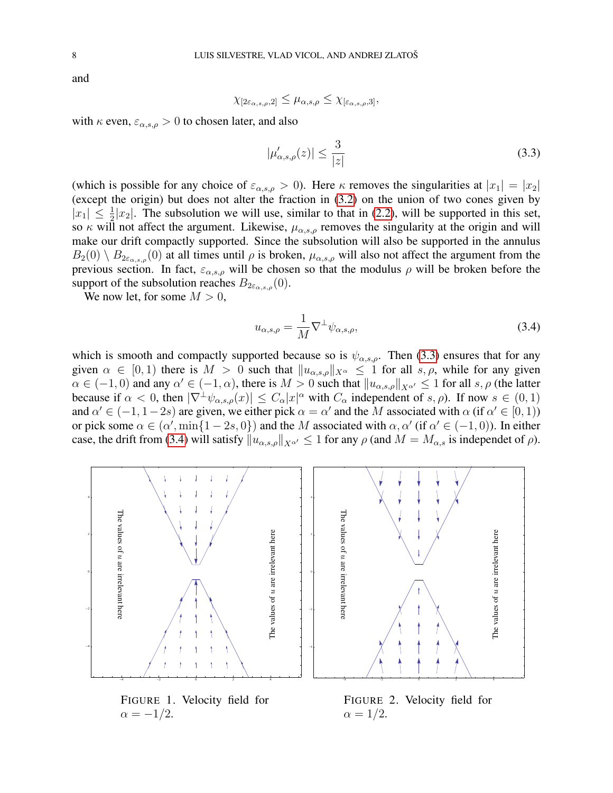and

$$
\chi_{[2\varepsilon_{\alpha,s,\rho},2]} \leq \mu_{\alpha,s,\rho} \leq \chi_{[\varepsilon_{\alpha,s,\rho},3]},
$$

with  $\kappa$  even,  $\varepsilon_{\alpha,s,\rho} > 0$  to chosen later, and also

<span id="page-7-1"></span>
$$
|\mu_{\alpha,s,\rho}'(z)| \le \frac{3}{|z|} \tag{3.3}
$$

(which is possible for any choice of  $\varepsilon_{\alpha,s,\rho} > 0$ ). Here  $\kappa$  removes the singularities at  $|x_1| = |x_2|$ (except the origin) but does not alter the fraction in [\(3.2\)](#page-6-1) on the union of two cones given by  $|x_1| \leq \frac{1}{2}|x_2|$ . The subsolution we will use, similar to that in [\(2.2\)](#page-5-2), will be supported in this set, so  $\kappa$  will not affect the argument. Likewise,  $\mu_{\alpha,s,\rho}$  removes the singularity at the origin and will make our drift compactly supported. Since the subsolution will also be supported in the annulus  $B_2(0) \setminus B_{2\varepsilon_{\alpha,s,\rho}}(0)$  at all times until  $\rho$  is broken,  $\mu_{\alpha,s,\rho}$  will also not affect the argument from the previous section. In fact,  $\varepsilon_{\alpha,s,\rho}$  will be chosen so that the modulus  $\rho$  will be broken before the support of the subsolution reaches  $B_{2\varepsilon_{\alpha,s,\rho}}(0)$ .

We now let, for some  $M > 0$ ,

<span id="page-7-0"></span>
$$
u_{\alpha,s,\rho} = \frac{1}{M} \nabla^{\perp} \psi_{\alpha,s,\rho},\tag{3.4}
$$

which is smooth and compactly supported because so is  $\psi_{\alpha,s,\rho}$ . Then [\(3.3\)](#page-7-1) ensures that for any given  $\alpha \in [0,1)$  there is  $M > 0$  such that  $||u_{\alpha,s,\rho}||_{X_\alpha} \leq 1$  for all  $s, \rho$ , while for any given  $\alpha \in (-1,0)$  and any  $\alpha' \in (-1,\alpha)$ , there is  $M > 0$  such that  $||u_{\alpha,s,\rho}||_{X^{\alpha'}} \le 1$  for all  $s, \rho$  (the latter because if  $\alpha < 0$ , then  $|\nabla^{\perp}\psi_{\alpha,s,\rho}(x)| \leq C_{\alpha}|x|^{\alpha}$  with  $C_{\alpha}$  independent of  $s, \rho$ ). If now  $s \in (0,1)$ and  $\alpha' \in (-1, 1-2s)$  are given, we either pick  $\alpha = \alpha'$  and the M associated with  $\alpha$  (if  $\alpha' \in [0, 1)$ ) or pick some  $\alpha \in (\alpha', \min\{1-2s, 0\})$  and the M associated with  $\alpha, \alpha'$  (if  $\alpha' \in (-1, 0)$ ). In either case, the drift from [\(3.4\)](#page-7-0) will satisfy  $||u_{\alpha,s,\rho}||_{X^{\alpha'}} \le 1$  for any  $\rho$  (and  $M = M_{\alpha,s}$  is independet of  $\rho$ ).

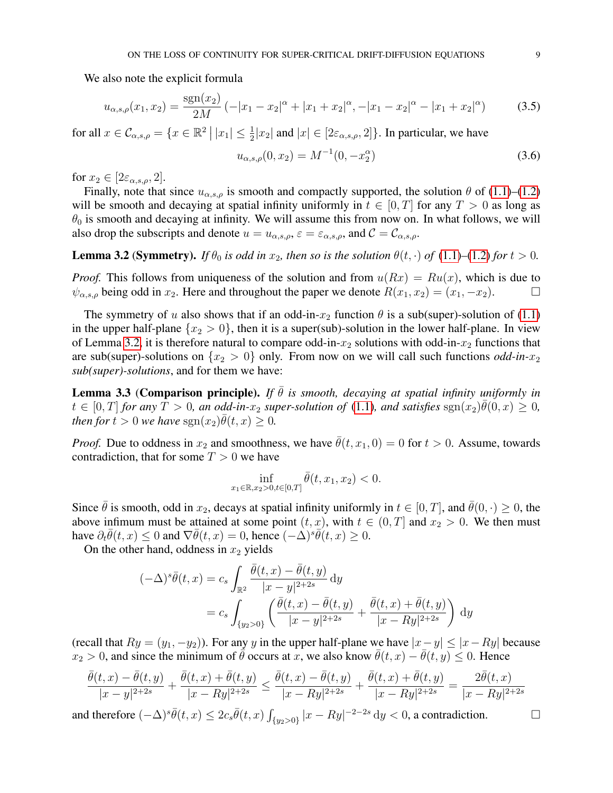We also note the explicit formula

$$
u_{\alpha,s,\rho}(x_1,x_2) = \frac{\text{sgn}(x_2)}{2M} \left(-|x_1 - x_2|^{\alpha} + |x_1 + x_2|^{\alpha}, -|x_1 - x_2|^{\alpha} - |x_1 + x_2|^{\alpha}\right) \tag{3.5}
$$

for all  $x \in \mathcal{C}_{\alpha,s,\rho} = \{x \in \mathbb{R}^2 \mid |x_1| \leq \frac{1}{2}|x_2|$  and  $|x| \in [2\varepsilon_{\alpha,s,\rho}, 2]\}.$  In particular, we have

<span id="page-8-3"></span><span id="page-8-2"></span>
$$
u_{\alpha,s,\rho}(0,x_2) = M^{-1}(0,-x_2^{\alpha})
$$
\n(3.6)

for  $x_2 \in [2\varepsilon_{\alpha,s,\rho},2]$ .

Finally, note that since  $u_{\alpha,s,\rho}$  is smooth and compactly supported, the solution  $\theta$  of [\(1.1\)](#page-0-0)–[\(1.2\)](#page-0-1) will be smooth and decaying at spatial infinity uniformly in  $t \in [0, T]$  for any  $T > 0$  as long as  $\theta_0$  is smooth and decaying at infinity. We will assume this from now on. In what follows, we will also drop the subscripts and denote  $u = u_{\alpha,s,\rho}$ ,  $\varepsilon = \varepsilon_{\alpha,s,\rho}$ , and  $\mathcal{C} = \mathcal{C}_{\alpha,s,\rho}$ .

<span id="page-8-0"></span>**Lemma 3.2 (Symmetry).** *If*  $\theta_0$  *is odd in*  $x_2$ *, then so is the solution*  $\theta(t, \cdot)$  *of* [\(1.1\)](#page-0-0)–[\(1.2\)](#page-0-1) *for*  $t > 0$ *.* 

*Proof.* This follows from uniqueness of the solution and from  $u(Rx) = Ru(x)$ , which is due to  $\psi_{\alpha,s,\rho}$  being odd in  $x_2$ . Here and throughout the paper we denote  $R(x_1, x_2) = (x_1, -x_2)$ .

The symmetry of u also shows that if an odd-in- $x_2$  function  $\theta$  is a sub(super)-solution of [\(1.1\)](#page-0-0) in the upper half-plane  $\{x_2 > 0\}$ , then it is a super(sub)-solution in the lower half-plane. In view of Lemma [3.2,](#page-8-0) it is therefore natural to compare odd-in- $x_2$  solutions with odd-in- $x_2$  functions that are sub(super)-solutions on  $\{x_2 > 0\}$  only. From now on we will call such functions *odd-in-x<sub>2</sub> sub(super)-solutions*, and for them we have:

<span id="page-8-1"></span>**Lemma 3.3 (Comparison principle).** *If*  $\overline{\theta}$  *is smooth, decaying at spatial infinity uniformly in*  $t \in [0,T]$  for any  $\hat{T} > 0$ , an odd-in- $x_2$  super-solution of [\(1.1\)](#page-0-0), and satisfies  $\text{sgn}(x_2)\overline{\theta}(0,x) \geq 0$ , *then for*  $t > 0$  *we have*  $sgn(x_2)\overline{\theta}(t, x) \geq 0$ .

*Proof.* Due to oddness in  $x_2$  and smoothness, we have  $\bar{\theta}(t, x_1, 0) = 0$  for  $t > 0$ . Assume, towards contradiction, that for some  $T > 0$  we have

$$
\inf_{x_1 \in \mathbb{R}, x_2 > 0, t \in [0,T]} \bar{\theta}(t, x_1, x_2) < 0.
$$

Since  $\bar{\theta}$  is smooth, odd in  $x_2$ , decays at spatial infinity uniformly in  $t \in [0, T]$ , and  $\bar{\theta}(0, \cdot) \ge 0$ , the above infimum must be attained at some point  $(t, x)$ , with  $t \in (0, T]$  and  $x_2 > 0$ . We then must have  $\partial_t \overline{\theta}(t, x) \le 0$  and  $\nabla \overline{\theta}(t, x) = 0$ , hence  $\overline{(-\Delta)^s} \overline{\theta}(t, x) \ge 0$ .

On the other hand, oddness in  $x_2$  yields

$$
(-\Delta)^s \bar{\theta}(t, x) = c_s \int_{\mathbb{R}^2} \frac{\bar{\theta}(t, x) - \bar{\theta}(t, y)}{|x - y|^{2+2s}} dy
$$
  
=  $c_s \int_{\{y_2 > 0\}} \left( \frac{\bar{\theta}(t, x) - \bar{\theta}(t, y)}{|x - y|^{2+2s}} + \frac{\bar{\theta}(t, x) + \bar{\theta}(t, y)}{|x - Ry|^{2+2s}} \right) dy$ 

(recall that  $Ry = (y_1, -y_2)$ ). For any y in the upper half-plane we have  $|x - y| \le |x - Ry|$  because  $x_2 > 0$ , and since the minimum of  $\bar{\theta}$  occurs at x, we also know  $\bar{\theta}(t, x) - \bar{\theta}(t, y) \leq 0$ . Hence

$$
\frac{\bar{\theta}(t,x) - \bar{\theta}(t,y)}{|x - y|^{2+2s}} + \frac{\bar{\theta}(t,x) + \bar{\theta}(t,y)}{|x - Ry|^{2+2s}} \le \frac{\bar{\theta}(t,x) - \bar{\theta}(t,y)}{|x - Ry|^{2+2s}} + \frac{\bar{\theta}(t,x) + \bar{\theta}(t,y)}{|x - Ry|^{2+2s}} = \frac{2\bar{\theta}(t,x)}{|x - Ry|^{2+2s}}
$$

and therefore  $(-\Delta)^s \bar{\theta}(t, x) \leq 2c_s \bar{\theta}(t, x) \int_{\{y_2 > 0\}} |x - Ry|^{-2-2s} dy < 0$ , a contradiction.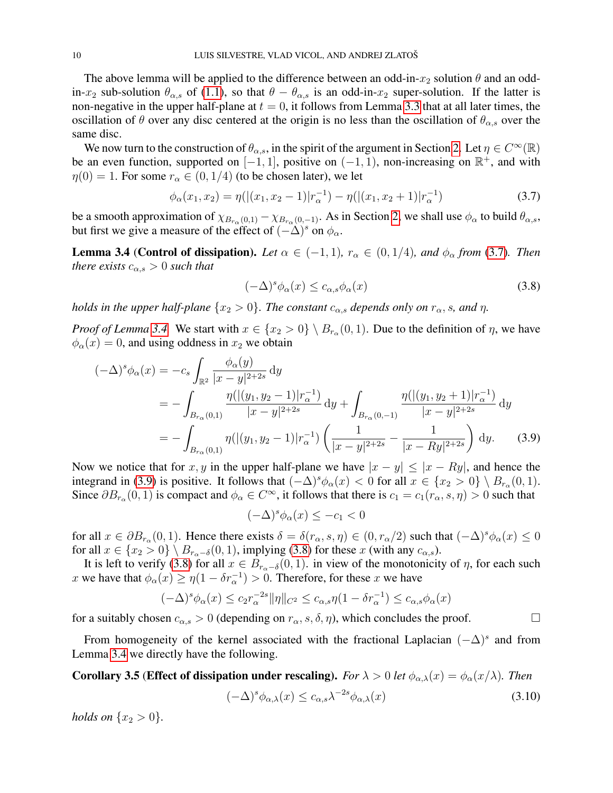The above lemma will be applied to the difference between an odd-in- $x_2$  solution  $\theta$  and an oddin- $x_2$  sub-solution  $\theta_{\alpha,s}$  of [\(1.1\)](#page-0-0), so that  $\theta - \theta_{\alpha,s}$  is an odd-in- $x_2$  super-solution. If the latter is non-negative in the upper half-plane at  $t = 0$ , it follows from Lemma [3.3](#page-8-1) that at all later times, the oscillation of  $\theta$  over any disc centered at the origin is no less than the oscillation of  $\theta_{\alpha,s}$  over the same disc.

We now turn to the construction of  $\theta_{\alpha,s}$ , in the spirit of the argument in Section [2.](#page-4-0) Let  $\eta \in C^{\infty}(\mathbb{R})$ be an even function, supported on  $[-1, 1]$ , positive on  $(-1, 1)$ , non-increasing on  $\mathbb{R}^+$ , and with  $\eta(0) = 1$ . For some  $r_{\alpha} \in (0, 1/4)$  (to be chosen later), we let

$$
\phi_{\alpha}(x_1, x_2) = \eta(|(x_1, x_2 - 1)|r_{\alpha}^{-1}) - \eta(|(x_1, x_2 + 1)|r_{\alpha}^{-1})
$$
\n(3.7)

be a smooth approximation of  $\chi_{B_{r_\alpha}(0,1)} - \chi_{B_{r_\alpha}(0,-1)}$ . As in Section [2,](#page-4-0) we shall use  $\phi_\alpha$  to build  $\theta_{\alpha,s}$ , but first we give a measure of the effect of  $(-\Delta)^s$  on  $\phi_\alpha$ .

<span id="page-9-0"></span>**Lemma 3.4 (Control of dissipation).** *Let*  $\alpha \in (-1, 1)$ *,*  $r_{\alpha} \in (0, 1/4)$ *, and*  $\phi_{\alpha}$  *from* [\(3.7\)](#page-9-1)*. Then there exists*  $c_{\alpha,s} > 0$  *such that* 

<span id="page-9-3"></span><span id="page-9-1"></span>
$$
(-\Delta)^s \phi_\alpha(x) \le c_{\alpha,s} \phi_\alpha(x) \tag{3.8}
$$

*holds in the upper half-plane*  $\{x_2 > 0\}$ *. The constant*  $c_{\alpha,s}$  *depends only on*  $r_{\alpha}$ *, s, and*  $\eta$ *.* 

*Proof of Lemma* [3.4.](#page-9-0) We start with  $x \in \{x_2 > 0\} \setminus B_{r_\alpha}(0, 1)$ . Due to the definition of  $\eta$ , we have  $\phi_{\alpha}(x) = 0$ , and using oddness in  $x_2$  we obtain

$$
(-\Delta)^{s} \phi_{\alpha}(x) = -c_{s} \int_{\mathbb{R}^{2}} \frac{\phi_{\alpha}(y)}{|x - y|^{2+2s}} dy
$$
  
= 
$$
- \int_{B_{r_{\alpha}}(0,1)} \frac{\eta(|(y_{1}, y_{2} - 1)|r_{\alpha}^{-1})}{|x - y|^{2+2s}} dy + \int_{B_{r_{\alpha}}(0,-1)} \frac{\eta(|(y_{1}, y_{2} + 1)|r_{\alpha}^{-1})}{|x - y|^{2+2s}} dy
$$
  
= 
$$
- \int_{B_{r_{\alpha}}(0,1)} \eta(|(y_{1}, y_{2} - 1)|r_{\alpha}^{-1}) \left(\frac{1}{|x - y|^{2+2s}} - \frac{1}{|x - Ry|^{2+2s}}\right) dy.
$$
 (3.9)

Now we notice that for x, y in the upper half-plane we have  $|x - y| \le |x - Ry|$ , and hence the integrand in [\(3.9\)](#page-9-2) is positive. It follows that  $(-\Delta)^s \phi_\alpha(x) < 0$  for all  $x \in \{x_2 > 0\} \setminus B_{r_\alpha}(0, 1)$ . Since  $\partial B_{r_\alpha}(0,1)$  is compact and  $\phi_\alpha \in C^\infty$ , it follows that there is  $c_1 = c_1(r_\alpha, s, \eta) > 0$  such that

<span id="page-9-2"></span> $(-\Delta)^s \phi_\alpha(x) \leq -c_1 < 0$ 

for all  $x \in \partial B_{r_\alpha}(0,1)$ . Hence there exists  $\delta = \delta(r_\alpha, s, \eta) \in (0, r_\alpha/2)$  such that  $(-\Delta)^s \phi_\alpha(x) \le 0$ for all  $x \in \{x_2 > 0\} \setminus B_{r_0-\delta}(0,1)$ , implying [\(3.8\)](#page-9-3) for these x (with any  $c_{\alpha,s}$ ).

It is left to verify [\(3.8\)](#page-9-3) for all  $x \in B_{r_\alpha-\delta}(0,1)$ . in view of the monotonicity of  $\eta$ , for each such x we have that  $\phi_{\alpha}(x) \ge \eta(1 - \delta r_{\alpha}^{-1}) > 0$ . Therefore, for these x we have

$$
(-\Delta)^s \phi_\alpha(x) \le c_2 r_\alpha^{-2s} \|\eta\|_{C^2} \le c_{\alpha,s} \eta (1 - \delta r_\alpha^{-1}) \le c_{\alpha,s} \phi_\alpha(x)
$$

for a suitably chosen  $c_{\alpha,s} > 0$  (depending on  $r_{\alpha}$ , s,  $\delta$ ,  $\eta$ ), which concludes the proof.

From homogeneity of the kernel associated with the fractional Laplacian  $(-\Delta)^s$  and from Lemma [3.4](#page-9-0) we directly have the following.

<span id="page-9-4"></span>**Corollary 3.5 (Effect of dissipation under rescaling).** *For*  $\lambda > 0$  *let*  $\phi_{\alpha,\lambda}(x) = \phi_{\alpha}(x/\lambda)$ *. Then* 

<span id="page-9-5"></span>
$$
(-\Delta)^s \phi_{\alpha,\lambda}(x) \le c_{\alpha,s} \lambda^{-2s} \phi_{\alpha,\lambda}(x) \tag{3.10}
$$

*holds on*  $\{x_2 > 0\}$ *.*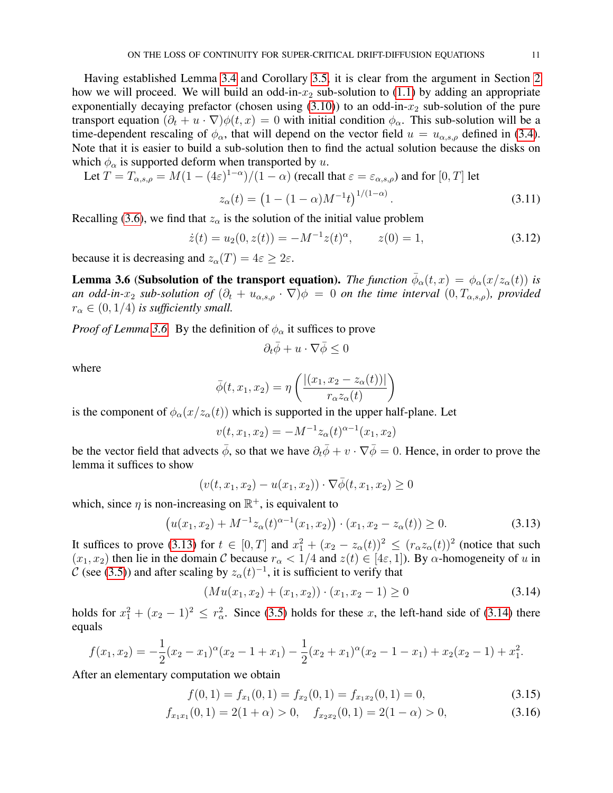Having established Lemma [3.4](#page-9-0) and Corollary [3.5,](#page-9-4) it is clear from the argument in Section [2](#page-4-0) how we will proceed. We will build an odd-in- $x_2$  sub-solution to [\(1.1\)](#page-0-0) by adding an appropriate exponentially decaying prefactor (chosen using  $(3.10)$ ) to an odd-in- $x_2$  sub-solution of the pure transport equation  $(\partial_t + u \cdot \nabla)\phi(t, x) = 0$  with initial condition  $\phi_\alpha$ . This sub-solution will be a time-dependent rescaling of  $\phi_{\alpha}$ , that will depend on the vector field  $u = u_{\alpha,s,\rho}$  defined in [\(3.4\)](#page-7-0). Note that it is easier to build a sub-solution then to find the actual solution because the disks on which  $\phi_{\alpha}$  is supported deform when transported by u.

Let  $T = T_{\alpha,s,\rho} = M(1-(4\varepsilon)^{1-\alpha})/(1-\alpha)$  (recall that  $\varepsilon = \varepsilon_{\alpha,s,\rho}$ ) and for  $[0,T]$  let

$$
z_{\alpha}(t) = \left(1 - (1 - \alpha)M^{-1}t\right)^{1/(1 - \alpha)}.\tag{3.11}
$$

Recalling [\(3.6\)](#page-8-2), we find that  $z_{\alpha}$  is the solution of the initial value problem

$$
\dot{z}(t) = u_2(0, z(t)) = -M^{-1}z(t)^{\alpha}, \qquad z(0) = 1,
$$
\n(3.12)

because it is decreasing and  $z_\alpha(T) = 4\varepsilon \geq 2\varepsilon$ .

<span id="page-10-0"></span>**Lemma 3.6 (Subsolution of the transport equation).** *The function*  $\bar{\phi}_{\alpha}(t,x) = \phi_{\alpha}(x/z_{\alpha}(t))$  *is an odd-in-* $x_2$  *sub-solution of*  $(\partial_t + u_{\alpha,s,\rho} \cdot \nabla) \phi = 0$  *on the time interval*  $(0, T_{\alpha,s,\rho})$ *, provided*  $r_{\alpha} \in (0, 1/4)$  *is sufficiently small.* 

*Proof of Lemma* [3.6.](#page-10-0) By the definition of  $\phi_{\alpha}$  it suffices to prove

<span id="page-10-1"></span>
$$
\partial_t \bar{\phi} + u \cdot \nabla \bar{\phi} \le 0
$$

where

$$
\bar{\phi}(t, x_1, x_2) = \eta \left( \frac{|(x_1, x_2 - z_\alpha(t))|}{r_\alpha z_\alpha(t)} \right)
$$

is the component of  $\phi_{\alpha}(x/z_{\alpha}(t))$  which is supported in the upper half-plane. Let

$$
v(t, x_1, x_2) = -M^{-1} z_{\alpha}(t)^{\alpha-1}(x_1, x_2)
$$

be the vector field that advects  $\bar{\phi}$ , so that we have  $\partial_t \bar{\phi} + v \cdot \nabla \bar{\phi} = 0$ . Hence, in order to prove the lemma it suffices to show

$$
(v(t, x_1, x_2) - u(x_1, x_2)) \cdot \nabla \overline{\phi}(t, x_1, x_2) \ge 0
$$

which, since  $\eta$  is non-increasing on  $\mathbb{R}^+$ , is equivalent to

$$
(u(x_1, x_2) + M^{-1}z_{\alpha}(t)^{\alpha - 1}(x_1, x_2)) \cdot (x_1, x_2 - z_{\alpha}(t)) \ge 0.
$$
 (3.13)

It suffices to prove [\(3.13\)](#page-10-1) for  $t \in [0, T]$  and  $x_1^2 + (x_2 - z_\alpha(t))^2 \le (r_\alpha z_\alpha(t))^2$  (notice that such  $(x_1, x_2)$  then lie in the domain C because  $r_\alpha < 1/4$  and  $z(t) \in [4\varepsilon, 1]$ ). By  $\alpha$ -homogeneity of u in C (see [\(3.5\)](#page-8-3)) and after scaling by  $z_\alpha(t)^{-1}$ , it is sufficient to verify that

<span id="page-10-2"></span>
$$
(Mu(x_1, x_2) + (x_1, x_2)) \cdot (x_1, x_2 - 1) \ge 0 \tag{3.14}
$$

holds for  $x_1^2 + (x_2 - 1)^2 \le r_\alpha^2$ . Since [\(3.5\)](#page-8-3) holds for these x, the left-hand side of [\(3.14\)](#page-10-2) there equals

$$
f(x_1, x_2) = -\frac{1}{2}(x_2 - x_1)^{\alpha}(x_2 - 1 + x_1) - \frac{1}{2}(x_2 + x_1)^{\alpha}(x_2 - 1 - x_1) + x_2(x_2 - 1) + x_1^2.
$$

After an elementary computation we obtain

$$
f(0,1) = f_{x_1}(0,1) = f_{x_2}(0,1) = f_{x_1x_2}(0,1) = 0,
$$
\n(3.15)

$$
f_{x_1x_1}(0,1) = 2(1+\alpha) > 0, \quad f_{x_2x_2}(0,1) = 2(1-\alpha) > 0,
$$
\n(3.16)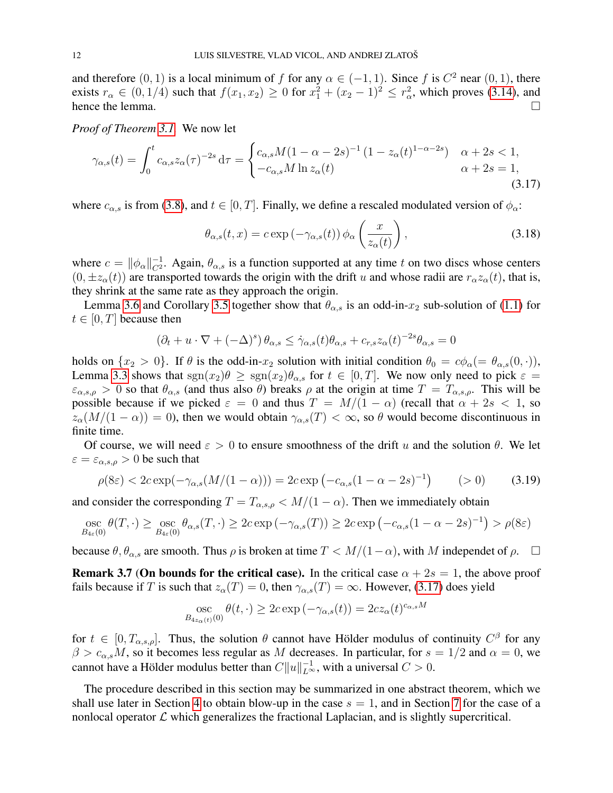and therefore  $(0, 1)$  is a local minimum of f for any  $\alpha \in (-1, 1)$ . Since f is  $C^2$  near  $(0, 1)$ , there exists  $r_{\alpha} \in (0, 1/4)$  such that  $f(x_1, x_2) \ge 0$  for  $x_1^2 + (x_2 - 1)^2 \le r_{\alpha}^2$ , which proves [\(3.14\)](#page-10-2), and hence the lemma.

*Proof of Theorem [3.1.](#page-6-2)* We now let

$$
\gamma_{\alpha,s}(t) = \int_0^t c_{\alpha,s} z_{\alpha}(\tau)^{-2s} d\tau = \begin{cases} c_{\alpha,s} M(1 - \alpha - 2s)^{-1} (1 - z_{\alpha}(t)^{1 - \alpha - 2s}) & \alpha + 2s < 1, \\ -c_{\alpha,s} M \ln z_{\alpha}(t) & \alpha + 2s = 1, \end{cases}
$$
(3.17)

where  $c_{\alpha,s}$  is from [\(3.8\)](#page-9-3), and  $t \in [0,T]$ . Finally, we define a rescaled modulated version of  $\phi_{\alpha}$ :

<span id="page-11-0"></span>
$$
\theta_{\alpha,s}(t,x) = c \exp\left(-\gamma_{\alpha,s}(t)\right) \phi_\alpha\left(\frac{x}{z_\alpha(t)}\right),\tag{3.18}
$$

where  $c = ||\phi_{\alpha}||_{C^2}^{-1}$ . Again,  $\theta_{\alpha,s}$  is a function supported at any time t on two discs whose centers  $(0, \pm z_\alpha(t))$  are transported towards the origin with the drift u and whose radii are  $r_\alpha z_\alpha(t)$ , that is, they shrink at the same rate as they approach the origin.

Lemma [3.6](#page-10-0) and Corollary [3.5](#page-9-4) together show that  $\theta_{\alpha,s}$  is an odd-in- $x_2$  sub-solution of [\(1.1\)](#page-0-0) for  $t \in [0, T]$  because then

$$
(\partial_t + u \cdot \nabla + (-\Delta)^s) \theta_{\alpha,s} \leq \dot{\gamma}_{\alpha,s}(t) \theta_{\alpha,s} + c_{r,s} z_\alpha(t)^{-2s} \theta_{\alpha,s} = 0
$$

holds on  $\{x_2 > 0\}$ . If  $\theta$  is the odd-in- $x_2$  solution with initial condition  $\theta_0 = c\phi_\alpha (= \theta_{\alpha,s}(0,\cdot)),$ Lemma [3.3](#page-8-1) shows that  $sgn(x_2)\theta \geq sgn(x_2)\theta_{\alpha,s}$  for  $t \in [0,T]$ . We now only need to pick  $\varepsilon =$  $\varepsilon_{\alpha,s,\rho} > 0$  so that  $\theta_{\alpha,s}$  (and thus also  $\theta$ ) breaks  $\rho$  at the origin at time  $T = T_{\alpha,s,\rho}$ . This will be possible because if we picked  $\varepsilon = 0$  and thus  $T = M/(1 - \alpha)$  (recall that  $\alpha + 2s < 1$ , so  $z_\alpha(M/(1-\alpha)) = 0$ , then we would obtain  $\gamma_{\alpha,s}(T) < \infty$ , so  $\theta$  would become discontinuous in finite time.

Of course, we will need  $\varepsilon > 0$  to ensure smoothness of the drift u and the solution  $\theta$ . We let  $\varepsilon = \varepsilon_{\alpha,s,\rho} > 0$  be such that

$$
\rho(8\varepsilon) < 2c \exp(-\gamma_{\alpha,s}(M/(1-\alpha))) = 2c \exp(-c_{\alpha,s}(1-\alpha-2s)^{-1}) \tag{3.19}
$$

and consider the corresponding  $T = T_{\alpha,s,\rho} < M/(1 - \alpha)$ . Then we immediately obtain

osc 
$$
\theta(T, \cdot) \geq \underset{B_{4\varepsilon}(0)}{\text{osc}} \theta_{\alpha,s}(T, \cdot) \geq 2c \exp(-\gamma_{\alpha,s}(T)) \geq 2c \exp(-c_{\alpha,s}(1-\alpha-2s)^{-1}) > \rho(8\varepsilon)
$$

because  $\theta$ ,  $\theta_{\alpha,s}$  are smooth. Thus  $\rho$  is broken at time  $T < M/(1-\alpha)$ , with M independet of  $\rho$ .  $\Box$ 

**Remark 3.7 (On bounds for the critical case).** In the critical case  $\alpha + 2s = 1$ , the above proof fails because if T is such that  $z_{\alpha}(T) = 0$ , then  $\gamma_{\alpha,s}(T) = \infty$ . However, [\(3.17\)](#page-11-0) does yield

osc  
<sub>B<sub>4z<sub>\alpha</sub>(t)</sub>(0)</sub> 
$$
\theta(t, \cdot) \ge 2c \exp(-\gamma_{\alpha,s}(t)) = 2cz_{\alpha}(t)^{c_{\alpha,s}M}
$$

for  $t \in [0, T_{\alpha,s,\rho}]$ . Thus, the solution  $\theta$  cannot have Hölder modulus of continuity  $C^{\beta}$  for any  $\beta > c_{\alpha,s}M$ , so it becomes less regular as M decreases. In particular, for  $s = 1/2$  and  $\alpha = 0$ , we cannot have a Hölder modulus better than  $C||u||_{L^{\infty}}^{-1}$ , with a universal  $C > 0$ .

The procedure described in this section may be summarized in one abstract theorem, which we shall use later in Section [4](#page-13-0) to obtain blow-up in the case  $s = 1$ , and in Section [7](#page-21-0) for the case of a nonlocal operator  $\mathcal L$  which generalizes the fractional Laplacian, and is slightly supercritical.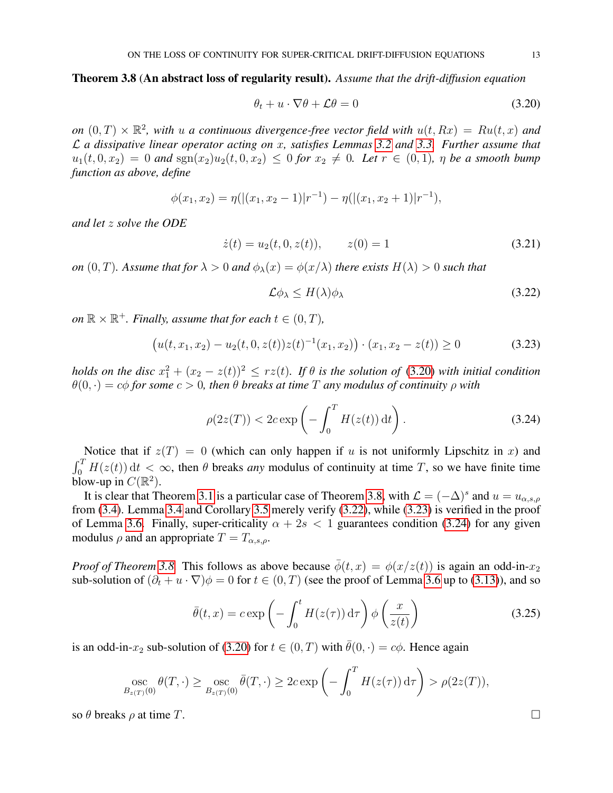## <span id="page-12-1"></span>Theorem 3.8 (An abstract loss of regularity result). *Assume that the drift-diffusion equation*

<span id="page-12-0"></span>
$$
\theta_t + u \cdot \nabla \theta + \mathcal{L}\theta = 0 \tag{3.20}
$$

on  $(0,T) \times \mathbb{R}^2$ , with u a continuous divergence-free vector field with  $u(t, Rx) = Ru(t, x)$  and L *a dissipative linear operator acting on* x*, satisfies Lemmas [3.2](#page-8-0) and [3.3.](#page-8-1) Further assume that*  $u_1(t, 0, x_2) = 0$  and  $sgn(x_2)u_2(t, 0, x_2) \le 0$  for  $x_2 \ne 0$ . Let  $r \in (0, 1)$ ,  $\eta$  be a smooth bump *function as above, define*

$$
\phi(x_1, x_2) = \eta(|(x_1, x_2 - 1)|r^{-1}) - \eta(|(x_1, x_2 + 1)|r^{-1}),
$$

*and let* z *solve the ODE*

<span id="page-12-5"></span>
$$
\dot{z}(t) = u_2(t, 0, z(t)), \qquad z(0) = 1 \tag{3.21}
$$

*on*  $(0, T)$ *. Assume that for*  $\lambda > 0$  *and*  $\phi_{\lambda}(x) = \phi(x/\lambda)$  *there exists*  $H(\lambda) > 0$  *such that* 

<span id="page-12-4"></span><span id="page-12-3"></span><span id="page-12-2"></span>
$$
\mathcal{L}\phi_{\lambda} \le H(\lambda)\phi_{\lambda} \tag{3.22}
$$

 $\mathfrak{on} \, \mathbb{R} \times \mathbb{R}^+$ *. Finally, assume that for each*  $t \in (0, T)$ *,* 

$$
(u(t, x_1, x_2) - u_2(t, 0, z(t))z(t)^{-1}(x_1, x_2)) \cdot (x_1, x_2 - z(t)) \ge 0
$$
\n(3.23)

*holds on the disc*  $x_1^2 + (x_2 - z(t))^2 \leq rz(t)$ . If  $\theta$  is the solution of [\(3.20\)](#page-12-0) with initial condition  $\theta(0, \cdot) = c\phi$  *for some*  $c > 0$ *, then*  $\theta$  *breaks at time*  $T$  *any modulus of continuity*  $\rho$  *with* 

$$
\rho(2z(T)) < 2c \exp\left(-\int_0^T H(z(t)) \, \mathrm{d}t\right). \tag{3.24}
$$

Notice that if  $z(T) = 0$  (which can only happen if u is not uniformly Lipschitz in x) and  $\int_0^T H(z(t)) dt < \infty$ , then  $\theta$  breaks *any* modulus of continuity at time T, so we have finite time blow-up in  $C(\mathbb{R}^2)$ .

It is clear that Theorem [3.1](#page-6-2) is a particular case of Theorem [3.8,](#page-12-1) with  $\mathcal{L} = (-\Delta)^s$  and  $u = u_{\alpha,s,\rho}$ from [\(3.4\)](#page-7-0). Lemma [3.4](#page-9-0) and Corollary [3.5](#page-9-4) merely verify [\(3.22\)](#page-12-2), while [\(3.23\)](#page-12-3) is verified in the proof of Lemma [3.6.](#page-10-0) Finally, super-criticality  $\alpha + 2s < 1$  guarantees condition [\(3.24\)](#page-12-4) for any given modulus  $\rho$  and an appropriate  $T = T_{\alpha,s,\rho}$ .

*Proof of Theorem* [3.8.](#page-12-1) This follows as above because  $\phi(t, x) = \phi(x/z(t))$  is again an odd-in- $x_2$ sub-solution of  $(\partial_t + u \cdot \nabla)\phi = 0$  for  $t \in (0, T)$  (see the proof of Lemma [3.6](#page-10-0) up to [\(3.13\)](#page-10-1)), and so

$$
\bar{\theta}(t,x) = c \exp\left(-\int_0^t H(z(\tau)) d\tau\right) \phi\left(\frac{x}{z(t)}\right)
$$
\n(3.25)

is an odd-in- $x_2$  sub-solution of [\(3.20\)](#page-12-0) for  $t \in (0, T)$  with  $\bar{\theta}(0, \cdot) = c\phi$ . Hence again

$$
\operatorname*{osc}_{B_{z(T)}(0)} \theta(T,\cdot) \geq \operatorname*{osc}_{B_{z(T)}(0)} \overline{\theta}(T,\cdot) \geq 2c \exp\left(-\int_0^T H(z(\tau)) d\tau\right) > \rho(2z(T)),
$$

so  $\theta$  breaks  $\rho$  at time T.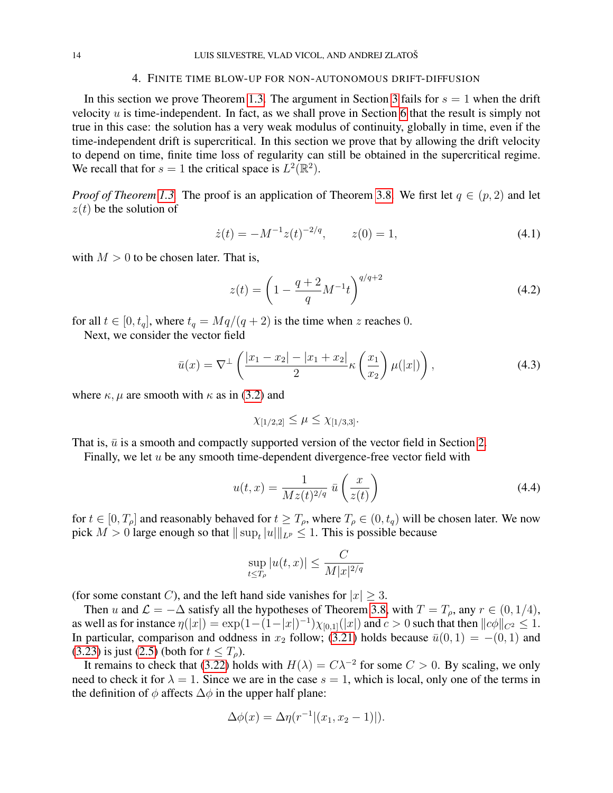#### <span id="page-13-0"></span>14 LUIS SILVESTRE, VLAD VICOL, AND ANDREJ ZLATOŠ

#### 4. FINITE TIME BLOW-UP FOR NON-AUTONOMOUS DRIFT-DIFFUSION

In this section we prove Theorem [1.3.](#page-2-2) The argument in Section [3](#page-6-0) fails for  $s = 1$  when the drift velocity  $u$  is time-independent. In fact, as we shall prove in Section [6](#page-15-0) that the result is simply not true in this case: the solution has a very weak modulus of continuity, globally in time, even if the time-independent drift is supercritical. In this section we prove that by allowing the drift velocity to depend on time, finite time loss of regularity can still be obtained in the supercritical regime. We recall that for  $s = 1$  the critical space is  $L^2(\mathbb{R}^2)$ .

*Proof of Theorem [1.3.](#page-2-2)* The proof is an application of Theorem [3.8.](#page-12-1) We first let  $q \in (p, 2)$  and let  $z(t)$  be the solution of

$$
\dot{z}(t) = -M^{-1}z(t)^{-2/q}, \qquad z(0) = 1,\tag{4.1}
$$

with  $M > 0$  to be chosen later. That is,

$$
z(t) = \left(1 - \frac{q+2}{q}M^{-1}t\right)^{q/q+2} \tag{4.2}
$$

for all  $t \in [0, t_q]$ , where  $t_q = Mq/(q+2)$  is the time when z reaches 0.

Next, we consider the vector field

$$
\bar{u}(x) = \nabla^{\perp} \left( \frac{|x_1 - x_2| - |x_1 + x_2|}{2} \kappa \left( \frac{x_1}{x_2} \right) \mu(|x|) \right), \tag{4.3}
$$

where  $\kappa$ ,  $\mu$  are smooth with  $\kappa$  as in [\(3.2\)](#page-6-1) and

$$
\chi_{[1/2,2]} \le \mu \le \chi_{[1/3,3]}.
$$

That is,  $\bar{u}$  is a smooth and compactly supported version of the vector field in Section [2.](#page-4-0)

Finally, we let  $u$  be any smooth time-dependent divergence-free vector field with

$$
u(t,x) = \frac{1}{Mz(t)^{2/q}} \bar{u}\left(\frac{x}{z(t)}\right) \tag{4.4}
$$

for  $t \in [0, T_\rho]$  and reasonably behaved for  $t \geq T_\rho$ , where  $T_\rho \in (0, t_q)$  will be chosen later. We now pick  $M > 0$  large enough so that  $||\sup_t |u||_{L^p} \le 1$ . This is possible because

$$
\sup_{t \le T_{\rho}} |u(t, x)| \le \frac{C}{M|x|^{2/q}}
$$

(for some constant C), and the left hand side vanishes for  $|x| \geq 3$ .

Then u and  $\mathcal{L} = -\Delta$  satisfy all the hypotheses of Theorem [3.8,](#page-12-1) with  $T = T_{\rho}$ , any  $r \in (0, 1/4)$ , as well as for instance  $\eta(|x|) = \exp(1-(1-|x|)^{-1})\chi_{[0,1]}(|x|)$  and  $c > 0$  such that then  $||c\phi||_{C^2} \leq 1$ . In particular, comparison and oddness in  $x_2$  follow; [\(3.21\)](#page-12-5) holds because  $\bar{u}(0, 1) = -(0, 1)$  and [\(3.23\)](#page-12-3) is just [\(2.5\)](#page-6-3) (both for  $t \leq T_{\rho}$ ).

It remains to check that [\(3.22\)](#page-12-2) holds with  $H(\lambda) = C\lambda^{-2}$  for some  $C > 0$ . By scaling, we only need to check it for  $\lambda = 1$ . Since we are in the case  $s = 1$ , which is local, only one of the terms in the definition of  $\phi$  affects  $\Delta\phi$  in the upper half plane:

$$
\Delta \phi(x) = \Delta \eta(r^{-1} |(x_1, x_2 - 1)|).
$$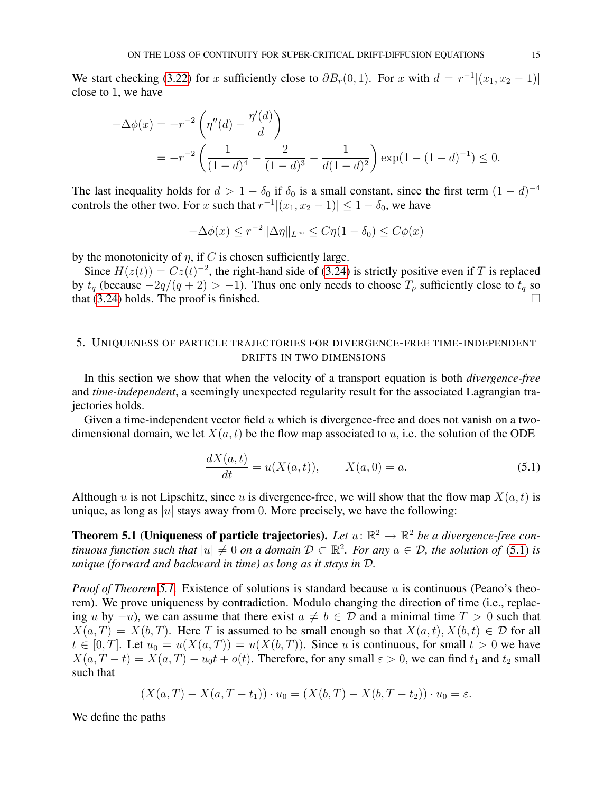We start checking [\(3.22\)](#page-12-2) for x sufficiently close to  $\partial B_r(0,1)$ . For x with  $d = r^{-1}|(x_1, x_2 - 1)|$ close to 1, we have

$$
-\Delta\phi(x) = -r^{-2} \left( \eta''(d) - \frac{\eta'(d)}{d} \right)
$$
  
=  $-r^{-2} \left( \frac{1}{(1-d)^4} - \frac{2}{(1-d)^3} - \frac{1}{d(1-d)^2} \right) \exp(1 - (1-d)^{-1}) \le 0.$ 

The last inequality holds for  $d > 1 - \delta_0$  if  $\delta_0$  is a small constant, since the first term  $(1 - d)^{-4}$ controls the other two. For x such that  $r^{-1}|(x_1, x_2 - 1)| \leq 1 - \delta_0$ , we have

$$
-\Delta\phi(x) \le r^{-2} \|\Delta \eta\|_{L^\infty} \le C\eta(1-\delta_0) \le C\phi(x)
$$

by the monotonicity of  $\eta$ , if C is chosen sufficiently large.

Since  $H(z(t)) = Cz(t)^{-2}$ , the right-hand side of [\(3.24\)](#page-12-4) is strictly positive even if T is replaced by  $t_q$  (because  $-2q/(q+2) > -1$ ). Thus one only needs to choose  $T_\rho$  sufficiently close to  $t_q$  so that [\(3.24\)](#page-12-4) holds. The proof is finished.

## <span id="page-14-0"></span>5. UNIQUENESS OF PARTICLE TRAJECTORIES FOR DIVERGENCE-FREE TIME-INDEPENDENT DRIFTS IN TWO DIMENSIONS

In this section we show that when the velocity of a transport equation is both *divergence-free* and *time-independent*, a seemingly unexpected regularity result for the associated Lagrangian trajectories holds.

Given a time-independent vector field  $u$  which is divergence-free and does not vanish on a twodimensional domain, we let  $X(a, t)$  be the flow map associated to u, i.e. the solution of the ODE

<span id="page-14-2"></span>
$$
\frac{dX(a,t)}{dt} = u(X(a,t)), \qquad X(a,0) = a.
$$
\n(5.1)

Although u is not Lipschitz, since u is divergence-free, we will show that the flow map  $X(a, t)$  is unique, as long as |u| stays away from 0. More precisely, we have the following:

<span id="page-14-1"></span>**Theorem 5.1** (Uniqueness of particle trajectories). Let  $u: \mathbb{R}^2 \to \mathbb{R}^2$  be a divergence-free con*tinuous function such that*  $|u| \neq 0$  *on a domain*  $D \subset \mathbb{R}^2$ . For any  $a \in \mathcal{D}$ , the solution of [\(5.1\)](#page-14-2) is *unique (forward and backward in time) as long as it stays in* D*.*

*Proof of Theorem [5.1.](#page-14-1)* Existence of solutions is standard because u is continuous (Peano's theorem). We prove uniqueness by contradiction. Modulo changing the direction of time (i.e., replacing u by −u), we can assume that there exist  $a \neq b \in \mathcal{D}$  and a minimal time  $T > 0$  such that  $X(a,T) = X(b,T)$ . Here T is assumed to be small enough so that  $X(a,t)$ ,  $X(b,t) \in \mathcal{D}$  for all  $t \in [0, T]$ . Let  $u_0 = u(X(a, T)) = u(X(b, T))$ . Since u is continuous, for small  $t > 0$  we have  $X(a, T - t) = X(a, T) - u_0t + o(t)$ . Therefore, for any small  $\varepsilon > 0$ , we can find  $t_1$  and  $t_2$  small such that

$$
(X(a,T) - X(a,T - t_1)) \cdot u_0 = (X(b,T) - X(b,T - t_2)) \cdot u_0 = \varepsilon.
$$

We define the paths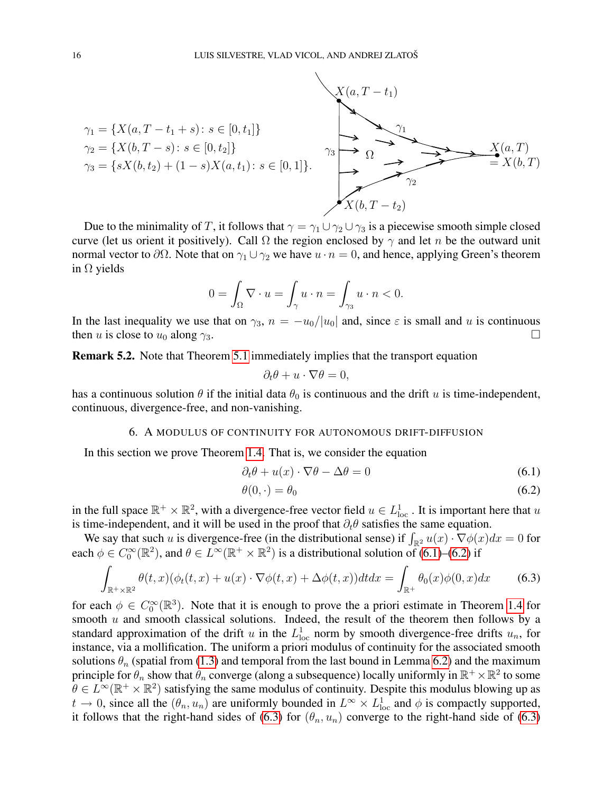

Due to the minimality of T, it follows that  $\gamma = \gamma_1 \cup \gamma_2 \cup \gamma_3$  is a piecewise smooth simple closed curve (let us orient it positively). Call  $\Omega$  the region enclosed by  $\gamma$  and let n be the outward unit normal vector to  $\partial\Omega$ . Note that on  $\gamma_1 \cup \gamma_2$  we have  $u \cdot n = 0$ , and hence, applying Green's theorem in  $\Omega$  yields

$$
0 = \int_{\Omega} \nabla \cdot u = \int_{\gamma} u \cdot n = \int_{\gamma_3} u \cdot n < 0.
$$

In the last inequality we use that on  $\gamma_3$ ,  $n = -u_0/|u_0|$  and, since  $\varepsilon$  is small and u is continuous then u is close to  $u_0$  along  $\gamma_3$ .

Remark 5.2. Note that Theorem [5.1](#page-14-1) immediately implies that the transport equation

<span id="page-15-2"></span><span id="page-15-1"></span>
$$
\partial_t \theta + u \cdot \nabla \theta = 0,
$$

has a continuous solution  $\theta$  if the initial data  $\theta_0$  is continuous and the drift u is time-independent, continuous, divergence-free, and non-vanishing.

### 6. A MODULUS OF CONTINUITY FOR AUTONOMOUS DRIFT-DIFFUSION

<span id="page-15-0"></span>In this section we prove Theorem [1.4.](#page-2-3) That is, we consider the equation

$$
\partial_t \theta + u(x) \cdot \nabla \theta - \Delta \theta = 0 \tag{6.1}
$$

$$
\theta(0,\cdot) = \theta_0 \tag{6.2}
$$

in the full space  $\mathbb{R}^+ \times \mathbb{R}^2$ , with a divergence-free vector field  $u \in L^1_{loc}$ . It is important here that u is time-independent, and it will be used in the proof that  $\partial_t \theta$  satisfies the same equation.

We say that such u is divergence-free (in the distributional sense) if  $\int_{\mathbb{R}^2} u(x) \cdot \nabla \phi(x) dx = 0$  for each  $\phi \in C_0^{\infty}(\mathbb{R}^2)$ , and  $\theta \in L^{\infty}(\mathbb{R}^+ \times \mathbb{R}^2)$  is a distributional solution of [\(6.1\)](#page-15-1)–[\(6.2\)](#page-15-2) if

<span id="page-15-3"></span>
$$
\int_{\mathbb{R}^+\times\mathbb{R}^2} \theta(t,x)(\phi_t(t,x) + u(x) \cdot \nabla \phi(t,x) + \Delta \phi(t,x)) dt dx = \int_{\mathbb{R}^+} \theta_0(x)\phi(0,x) dx \tag{6.3}
$$

for each  $\phi \in C_0^{\infty}(\mathbb{R}^3)$ . Note that it is enough to prove the a priori estimate in Theorem [1.4](#page-2-3) for smooth  $u$  and smooth classical solutions. Indeed, the result of the theorem then follows by a standard approximation of the drift u in the  $L^1_{loc}$  norm by smooth divergence-free drifts  $u_n$ , for instance, via a mollification. The uniform a priori modulus of continuity for the associated smooth solutions  $\theta_n$  (spatial from [\(1.3\)](#page-3-0) and temporal from the last bound in Lemma [6.2\)](#page-17-0) and the maximum principle for  $\theta_n$  show that  $\theta_n$  converge (along a subsequence) locally uniformly in  $\mathbb{R}^+ \times \mathbb{R}^2$  to some  $\theta \in L^{\infty}(\mathbb{R}^+ \times \mathbb{R}^2)$  satisfying the same modulus of continuity. Despite this modulus blowing up as  $t \to 0$ , since all the  $(\theta_n, u_n)$  are uniformly bounded in  $L^{\infty} \times L^1_{loc}$  and  $\phi$  is compactly supported, it follows that the right-hand sides of [\(6.3\)](#page-15-3) for  $(\theta_n, u_n)$  converge to the right-hand side of (6.3)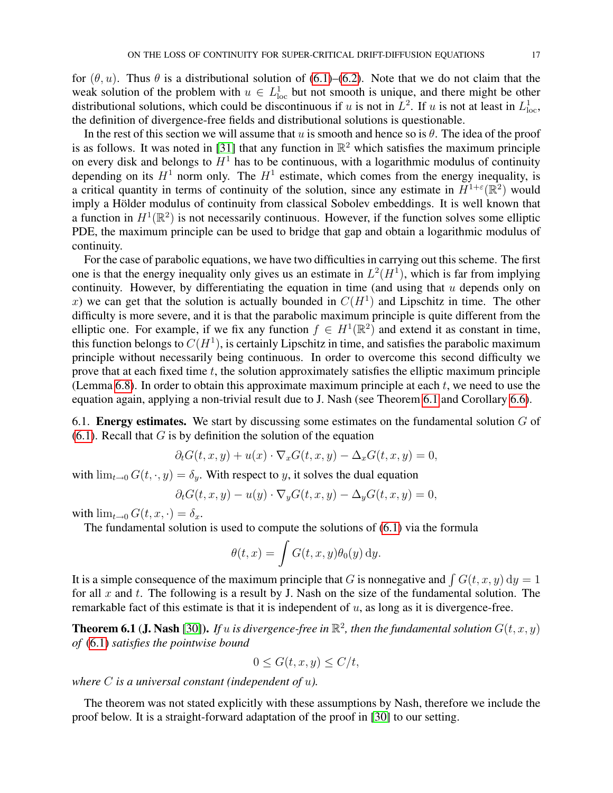for  $(\theta, u)$ . Thus  $\theta$  is a distributional solution of [\(6.1\)](#page-15-1)–[\(6.2\)](#page-15-2). Note that we do not claim that the weak solution of the problem with  $u \in L^1_{loc}$  but not smooth is unique, and there might be other distributional solutions, which could be discontinuous if u is not in  $L^2$ . If u is not at least in  $L^1_{loc}$ , the definition of divergence-free fields and distributional solutions is questionable.

In the rest of this section we will assume that u is smooth and hence so is  $\theta$ . The idea of the proof is as follows. It was noted in [\[31\]](#page-26-6) that any function in  $\mathbb{R}^2$  which satisfies the maximum principle on every disk and belongs to  $H<sup>1</sup>$  has to be continuous, with a logarithmic modulus of continuity depending on its  $H^1$  norm only. The  $H^1$  estimate, which comes from the energy inequality, is a critical quantity in terms of continuity of the solution, since any estimate in  $H^{1+\epsilon}(\mathbb{R}^2)$  would imply a Hölder modulus of continuity from classical Sobolev embeddings. It is well known that a function in  $H^1(\mathbb{R}^2)$  is not necessarily continuous. However, if the function solves some elliptic PDE, the maximum principle can be used to bridge that gap and obtain a logarithmic modulus of continuity.

For the case of parabolic equations, we have two difficulties in carrying out this scheme. The first one is that the energy inequality only gives us an estimate in  $L^2(H^1)$ , which is far from implying continuity. However, by differentiating the equation in time (and using that  $u$  depends only on x) we can get that the solution is actually bounded in  $C(H<sup>1</sup>)$  and Lipschitz in time. The other difficulty is more severe, and it is that the parabolic maximum principle is quite different from the elliptic one. For example, if we fix any function  $f \in H^1(\mathbb{R}^2)$  and extend it as constant in time, this function belongs to  $C(H^1)$ , is certainly Lipschitz in time, and satisfies the parabolic maximum principle without necessarily being continuous. In order to overcome this second difficulty we prove that at each fixed time  $t$ , the solution approximately satisfies the elliptic maximum principle (Lemma [6.8\)](#page-19-0). In order to obtain this approximate maximum principle at each  $t$ , we need to use the equation again, applying a non-trivial result due to J. Nash (see Theorem [6.1](#page-16-0) and Corollary [6.6\)](#page-19-1).

6.1. **Energy estimates.** We start by discussing some estimates on the fundamental solution  $G$  of  $(6.1)$ . Recall that G is by definition the solution of the equation

$$
\partial_t G(t, x, y) + u(x) \cdot \nabla_x G(t, x, y) - \Delta_x G(t, x, y) = 0,
$$

with  $\lim_{t\to 0} G(t,\cdot,y) = \delta_y$ . With respect to y, it solves the dual equation

$$
\partial_t G(t, x, y) - u(y) \cdot \nabla_y G(t, x, y) - \Delta_y G(t, x, y) = 0,
$$

with  $\lim_{t\to 0} G(t, x, \cdot) = \delta_x$ .

The fundamental solution is used to compute the solutions of [\(6.1\)](#page-15-1) via the formula

$$
\theta(t,x) = \int G(t,x,y)\theta_0(y) \,dy.
$$

It is a simple consequence of the maximum principle that G is nonnegative and  $\int G(t, x, y) dy = 1$ for all  $x$  and  $t$ . The following is a result by J. Nash on the size of the fundamental solution. The remarkable fact of this estimate is that it is independent of  $u$ , as long as it is divergence-free.

<span id="page-16-0"></span>**Theorem 6.1 (J. Nash** [\[30\]](#page-26-12)). If u is divergence-free in  $\mathbb{R}^2$ , then the fundamental solution  $G(t, x, y)$ *of* [\(6.1\)](#page-15-1) *satisfies the pointwise bound*

$$
0 \le G(t, x, y) \le C/t,
$$

*where* C *is a universal constant (independent of* u*).*

The theorem was not stated explicitly with these assumptions by Nash, therefore we include the proof below. It is a straight-forward adaptation of the proof in [\[30\]](#page-26-12) to our setting.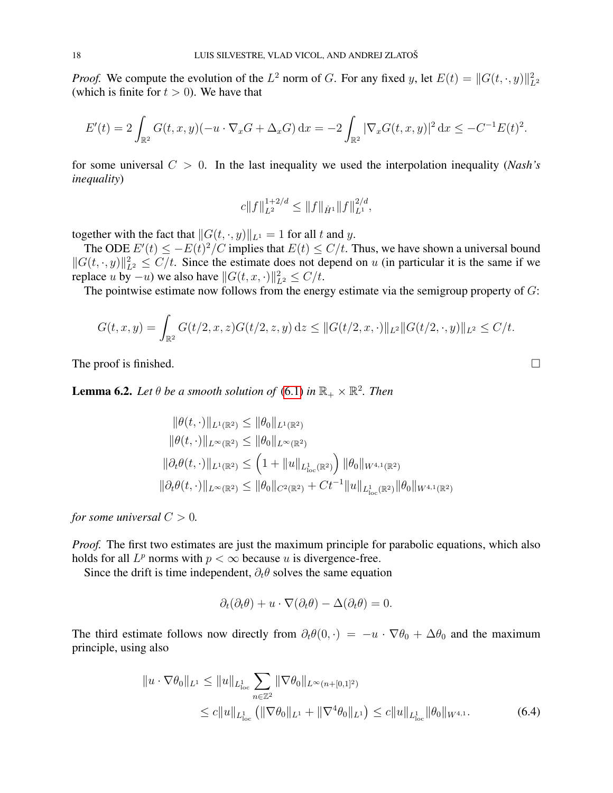*Proof.* We compute the evolution of the  $L^2$  norm of G. For any fixed y, let  $E(t) = ||G(t, \cdot, y)||_{L^2}^2$ (which is finite for  $t > 0$ ). We have that

$$
E'(t) = 2 \int_{\mathbb{R}^2} G(t, x, y) (-u \cdot \nabla_x G + \Delta_x G) dx = -2 \int_{\mathbb{R}^2} |\nabla_x G(t, x, y)|^2 dx \leq -C^{-1} E(t)^2.
$$

for some universal C > 0. In the last inequality we used the interpolation inequality (*Nash's inequality*)

$$
c||f||_{L^2}^{1+2/d} \le ||f||_{\dot{H}^1} ||f||_{L^1}^{2/d},
$$

together with the fact that  $||G(t, \cdot, y)||_{L^1} = 1$  for all t and y.

The ODE  $E'(t) \le -E(t)^2/C$  implies that  $E(t) \le C/t$ . Thus, we have shown a universal bound  $||G(t, \cdot, y)||_{L^2}^2 \le C/t$ . Since the estimate does not depend on u (in particular it is the same if we replace  $u$  by  $-u$ ) we also have  $||G(t, x, \cdot)||_{L^2}^2 \le C/t$ .

The pointwise estimate now follows from the energy estimate via the semigroup property of  $G$ :

$$
G(t, x, y) = \int_{\mathbb{R}^2} G(t/2, x, z) G(t/2, z, y) dz \leq ||G(t/2, x, \cdot)||_{L^2} ||G(t/2, \cdot, y)||_{L^2} \leq C/t.
$$

The proof is finished.  $\square$ 

<span id="page-17-0"></span>**Lemma 6.2.** Let  $\theta$  be a smooth solution of [\(6.1\)](#page-15-1) in  $\mathbb{R}_+ \times \mathbb{R}^2$ . Then

$$
\|\theta(t,\cdot)\|_{L^{1}(\mathbb{R}^2)} \leq \|\theta_0\|_{L^{1}(\mathbb{R}^2)}
$$
  

$$
\|\theta(t,\cdot)\|_{L^{\infty}(\mathbb{R}^2)} \leq \|\theta_0\|_{L^{\infty}(\mathbb{R}^2)}
$$
  

$$
\|\partial_t \theta(t,\cdot)\|_{L^{1}(\mathbb{R}^2)} \leq \left(1 + \|u\|_{L^{1}_{\text{loc}}(\mathbb{R}^2)}\right) \|\theta_0\|_{W^{4,1}(\mathbb{R}^2)}
$$
  

$$
\|\partial_t \theta(t,\cdot)\|_{L^{\infty}(\mathbb{R}^2)} \leq \|\theta_0\|_{C^2(\mathbb{R}^2)} + Ct^{-1} \|u\|_{L^{1}_{\text{loc}}(\mathbb{R}^2)} \|\theta_0\|_{W^{4,1}(\mathbb{R}^2)}
$$

*for some universal*  $C > 0$ *.* 

*Proof.* The first two estimates are just the maximum principle for parabolic equations, which also holds for all  $L^p$  norms with  $p < \infty$  because u is divergence-free.

Since the drift is time independent,  $\partial_t \theta$  solves the same equation

<span id="page-17-1"></span>
$$
\partial_t(\partial_t \theta) + u \cdot \nabla(\partial_t \theta) - \Delta(\partial_t \theta) = 0.
$$

The third estimate follows now directly from  $\partial_t \theta(0, \cdot) = -u \cdot \nabla \theta_0 + \Delta \theta_0$  and the maximum principle, using also

$$
||u \cdot \nabla \theta_0||_{L^1} \le ||u||_{L^1_{loc}} \sum_{n \in \mathbb{Z}^2} ||\nabla \theta_0||_{L^{\infty}(n+[0,1]^2)}
$$
  
\n
$$
\le c||u||_{L^1_{loc}} (||\nabla \theta_0||_{L^1} + ||\nabla^4 \theta_0||_{L^1}) \le c||u||_{L^1_{loc}} ||\theta_0||_{W^{4,1}}.
$$
\n(6.4)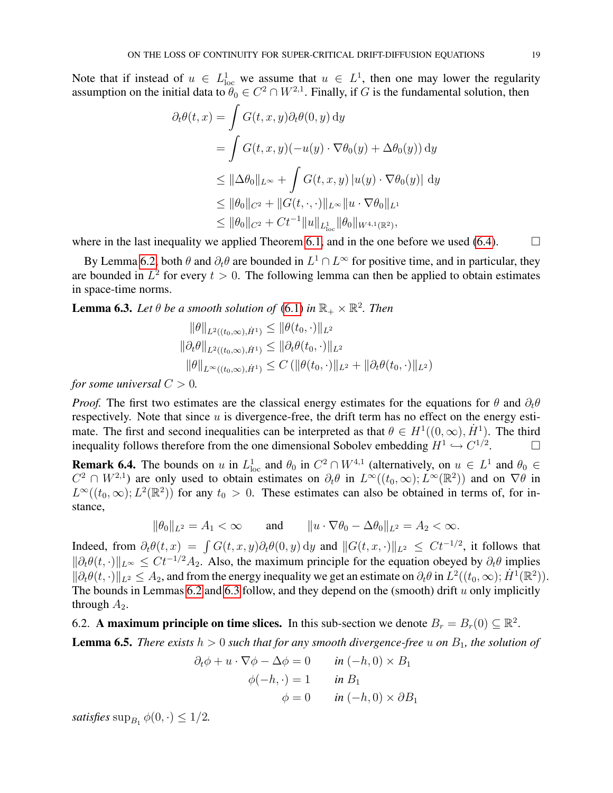Note that if instead of  $u \in L^1_{loc}$  we assume that  $u \in L^1$ , then one may lower the regularity assumption on the initial data to  $\theta_0 \in C^2 \cap W^{2,1}$ . Finally, if G is the fundamental solution, then

$$
\partial_t \theta(t, x) = \int G(t, x, y) \partial_t \theta(0, y) dy
$$
  
= 
$$
\int G(t, x, y) (-u(y) \cdot \nabla \theta_0(y) + \Delta \theta_0(y)) dy
$$
  

$$
\leq ||\Delta \theta_0||_{L^{\infty}} + \int G(t, x, y) |u(y) \cdot \nabla \theta_0(y)| dy
$$
  

$$
\leq ||\theta_0||_{C^2} + ||G(t, \cdot, \cdot)||_{L^{\infty}} ||u \cdot \nabla \theta_0||_{L^1}
$$
  

$$
\leq ||\theta_0||_{C^2} + Ct^{-1} ||u||_{L^1_{loc}} ||\theta_0||_{W^{4,1}(\mathbb{R}^2)},
$$

where in the last inequality we applied Theorem [6.1,](#page-16-0) and in the one before we used [\(6.4\)](#page-17-1).  $\Box$ 

By Lemma [6.2,](#page-17-0) both  $\theta$  and  $\partial_t \theta$  are bounded in  $L^1 \cap L^\infty$  for positive time, and in particular, they are bounded in  $L^2$  for every  $t > 0$ . The following lemma can then be applied to obtain estimates in space-time norms.

<span id="page-18-0"></span>**Lemma 6.3.** Let  $\theta$  be a smooth solution of [\(6.1\)](#page-15-1) in  $\mathbb{R}_+ \times \mathbb{R}^2$ . Then

$$
\|\theta\|_{L^2((t_0,\infty),\dot{H}^1)} \leq \|\theta(t_0,\cdot)\|_{L^2}
$$
  

$$
\|\partial_t \theta\|_{L^2((t_0,\infty),\dot{H}^1)} \leq \|\partial_t \theta(t_0,\cdot)\|_{L^2}
$$
  

$$
\|\theta\|_{L^\infty((t_0,\infty),\dot{H}^1)} \leq C (\|\theta(t_0,\cdot)\|_{L^2} + \|\partial_t \theta(t_0,\cdot)\|_{L^2})
$$

*for some universal*  $C > 0$ *.* 

*Proof.* The first two estimates are the classical energy estimates for the equations for  $\theta$  and  $\partial_t \theta$ respectively. Note that since  $u$  is divergence-free, the drift term has no effect on the energy estimate. The first and second inequalities can be interpreted as that  $\theta \in H^1((0,\infty), \dot{H}^1)$ . The third inequality follows therefore from the one dimensional Sobolev embedding  $H^1 \hookrightarrow C^{1/2}$  $\Box$ 

**Remark 6.4.** The bounds on u in  $L^1_{loc}$  and  $\theta_0$  in  $C^2 \cap W^{4,1}$  (alternatively, on  $u \in L^1$  and  $\theta_0 \in$  $C^2 \cap W^{2,1}$  are only used to obtain estimates on  $\partial_t \theta$  in  $L^\infty((t_0,\infty); L^\infty(\mathbb{R}^2))$  and on  $\nabla \theta$  in  $L^{\infty}((t_0,\infty); L^2(\mathbb{R}^2))$  for any  $t_0 > 0$ . These estimates can also be obtained in terms of, for instance,

$$
\|\theta_0\|_{L^2}=A_1<\infty \quad \text{and} \quad \|u\cdot\nabla\theta_0-\Delta\theta_0\|_{L^2}=A_2<\infty.
$$

Indeed, from  $\partial_t \theta(t, x) = \int G(t, x, y) \partial_t \theta(0, y) dy$  and  $||G(t, x, \cdot)||_{L^2} \leq Ct^{-1/2}$ , it follows that  $\|\partial_t \theta(t, \cdot)\|_{L^\infty} \leq Ct^{-1/2}A_2$ . Also, the maximum principle for the equation obeyed by  $\partial_t \theta$  implies  $\|\partial_t \theta(t, \cdot)\|_{L^2} \leq A_2$ , and from the energy inequality we get an estimate on  $\partial_t \theta$  in  $L^2((t_0, \infty); \dot{H}^1(\mathbb{R}^2))$ . The bounds in Lemmas [6.2](#page-17-0) and [6.3](#page-18-0) follow, and they depend on the (smooth) drift  $u$  only implicitly through  $A_2$ .

6.2. A maximum principle on time slices. In this sub-section we denote  $B_r = B_r(0) \subseteq \mathbb{R}^2$ .

<span id="page-18-1"></span>**Lemma 6.5.** *There exists*  $h > 0$  *such that for any smooth divergence-free* u *on*  $B<sub>1</sub>$ *, the solution of* 

$$
\partial_t \phi + u \cdot \nabla \phi - \Delta \phi = 0 \qquad in \ (-h, 0) \times B_1
$$

$$
\phi(-h, \cdot) = 1 \qquad in \ B_1
$$

$$
\phi = 0 \qquad in \ (-h, 0) \times \partial B_1
$$

*satisfies*  $\sup_{B_1} \phi(0, \cdot) \leq 1/2$ .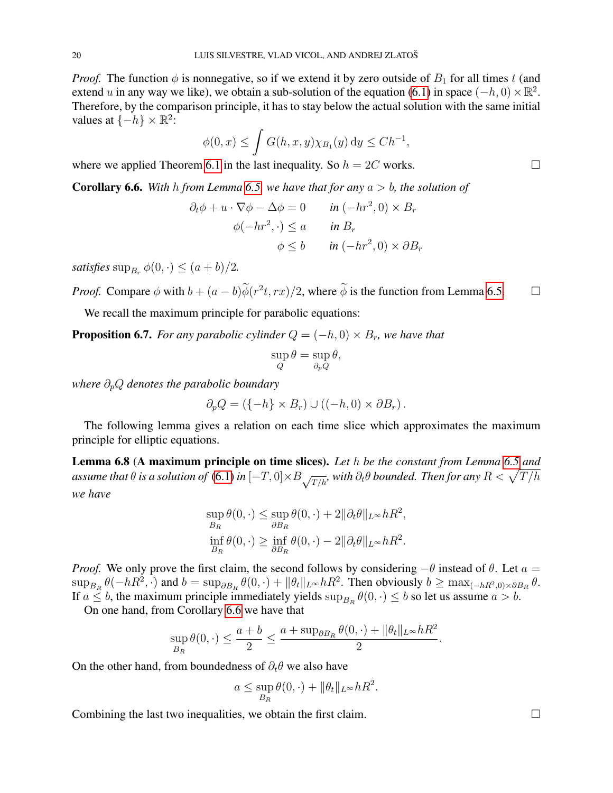*Proof.* The function  $\phi$  is nonnegative, so if we extend it by zero outside of  $B_1$  for all times t (and extend u in any way we like), we obtain a sub-solution of the equation [\(6.1\)](#page-15-1) in space  $(-h, 0) \times \mathbb{R}^2$ . Therefore, by the comparison principle, it has to stay below the actual solution with the same initial values at  $\{-h\} \times \mathbb{R}^2$ :

$$
\phi(0,x) \le \int G(h,x,y)\chi_{B_1}(y) \,dy \le Ch^{-1},
$$

where we applied Theorem [6.1](#page-16-0) in the last inequality. So  $h = 2C$  works.

<span id="page-19-1"></span>**Corollary 6.6.** With h from Lemma [6.5,](#page-18-1) we have that for any  $a > b$ , the solution of

$$
\partial_t \phi + u \cdot \nabla \phi - \Delta \phi = 0 \qquad \text{in } (-hr^2, 0) \times B_r
$$

$$
\phi(-hr^2, \cdot) \le a \qquad \text{in } B_r
$$

$$
\phi \le b \qquad \text{in } (-hr^2, 0) \times \partial B_r
$$

*satisfies*  $\sup_{B_r} \phi(0, \cdot) \leq (a + b)/2$ .

*Proof.* Compare  $\phi$  with  $b + (a - b)\widetilde{\phi}(r^2t, rx)/2$ , where  $\widetilde{\phi}$  is the function from Lemma [6.5.](#page-18-1)  $\Box$ 

We recall the maximum principle for parabolic equations:

**Proposition 6.7.** *For any parabolic cylinder*  $Q = (-h, 0) \times B_r$ *, we have that* 

$$
\sup_{Q} \theta = \sup_{\partial_p Q} \theta,
$$

*where*  $∂<sub>p</sub>Q$  *denotes the parabolic boundary* 

$$
\partial_p Q = (\{-h\} \times B_r) \cup ((-h, 0) \times \partial B_r).
$$

The following lemma gives a relation on each time slice which approximates the maximum principle for elliptic equations.

<span id="page-19-0"></span>Lemma 6.8 (A maximum principle on time slices). *Let* h *be the constant from Lemma [6.5](#page-18-1) and* assume that  $\theta$  is a solution of  $(6.1)$  in  $[-T,0]\times B_{\sqrt{T/h}}$ , with  $\partial_t\theta$  bounded. Then for any  $R<\sqrt{T/h}$ *we have*

$$
\sup_{B_R} \theta(0, \cdot) \leq \sup_{\partial B_R} \theta(0, \cdot) + 2 \|\partial_t \theta\|_{L^\infty} hR^2,
$$
  

$$
\inf_{B_R} \theta(0, \cdot) \geq \inf_{\partial B_R} \theta(0, \cdot) - 2 \|\partial_t \theta\|_{L^\infty} hR^2.
$$

*Proof.* We only prove the first claim, the second follows by considering  $-\theta$  instead of  $\theta$ . Let  $a =$  $\sup_{B_R} \theta(-hR^2, \cdot)$  and  $b = \sup_{\partial B_R} \theta(0, \cdot) + ||\theta_t||_{L^\infty} hR^2$ . Then obviously  $b \ge \max_{(-hR^2, 0) \times \partial B_R} \theta$ . If  $a \le b$ , the maximum principle immediately yields  $\sup_{B_R} \theta(0, \cdot) \le b$  so let us assume  $a > b$ .

On one hand, from Corollary [6.6](#page-19-1) we have that

$$
\sup_{B_R} \theta(0,\cdot) \leq \frac{a+b}{2} \leq \frac{a+ \sup_{\partial B_R} \theta(0,\cdot) + \|\theta_t\|_{L^\infty} hR^2}{2}.
$$

On the other hand, from boundedness of  $\partial_t \theta$  we also have

$$
a \le \sup_{B_R} \theta(0, \cdot) + ||\theta_t||_{L^\infty} hR^2.
$$

Combining the last two inequalities, we obtain the first claim.  $\Box$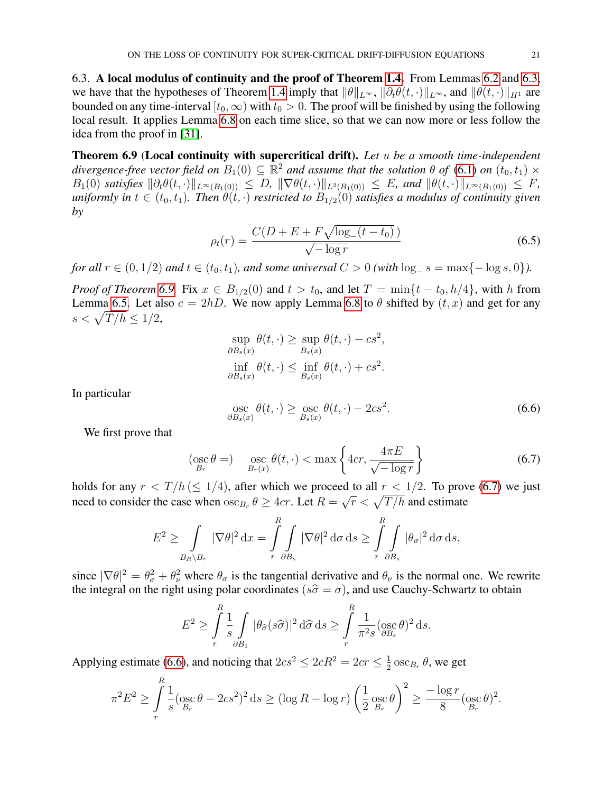6.3. A local modulus of continuity and the proof of Theorem [1.4.](#page-2-3) From Lemmas [6.2](#page-17-0) and [6.3,](#page-18-0) we have that the hypotheses of Theorem [1.4](#page-2-3) imply that  $\|\theta\|_{L^{\infty}}$ ,  $\|\partial_t \theta(t, \cdot)\|_{L^{\infty}}$ , and  $\|\theta(t, \cdot)\|_{H^1}$  are bounded on any time-interval  $[t_0, \infty)$  with  $t_0 > 0$ . The proof will be finished by using the following local result. It applies Lemma [6.8](#page-19-0) on each time slice, so that we can now more or less follow the idea from the proof in [\[31\]](#page-26-6).

<span id="page-20-0"></span>Theorem 6.9 (Local continuity with supercritical drift). *Let* u *be a smooth time-independent* divergence-free vector field on  $B_1(0) \subseteq \mathbb{R}^2$  and assume that the solution  $\theta$  of [\(6.1\)](#page-15-1) on  $(t_0, t_1) \times$  $B_1(0)$  *satisfies*  $\|\partial_t \theta(t, \cdot)\|_{L^{\infty}(B_1(0))} \leq D$ ,  $\|\nabla \theta(t, \cdot)\|_{L^2(B_1(0))} \leq E$ , and  $\|\theta(t, \cdot)\|_{L^{\infty}(B_1(0))} \leq F$ ,  $u$ niformly in  $t \in (t_0, t_1)$ . Then  $\theta(t, \cdot)$  restricted to  $B_{1/2}(0)$  satisfies a modulus of continuity given *by*

<span id="page-20-3"></span>
$$
\rho_t(r) = \frac{C(D + E + F\sqrt{\log_-(t - t_0)})}{\sqrt{-\log r}}
$$
\n(6.5)

*for all*  $r \in (0, 1/2)$  *and*  $t \in (t_0, t_1)$ *, and some universal*  $C > 0$  *(with*  $\log_{-} s = \max\{-\log s, 0\}$ *).* 

*Proof of Theorem* [6.9.](#page-20-0) Fix  $x \in B_{1/2}(0)$  and  $t > t_0$ , and let  $T = \min\{t - t_0, h/4\}$ , with h from Lemma [6.5.](#page-18-1) Let also  $c = 2hD$ . We now apply Lemma [6.8](#page-19-0) to  $\theta$  shifted by  $(t, x)$  and get for any  $s < \sqrt{T/h} \leq 1/2$ ,

$$
\sup_{\partial B_s(x)} \theta(t, \cdot) \ge \sup_{B_s(x)} \theta(t, \cdot) - cs^2,
$$
  
\n
$$
\inf_{\partial B_s(x)} \theta(t, \cdot) \le \inf_{B_s(x)} \theta(t, \cdot) + cs^2.
$$

In particular

<span id="page-20-2"></span>
$$
\underset{\partial B_s(x)}{\text{osc}} \theta(t, \cdot) \ge \underset{B_s(x)}{\text{osc}} \theta(t, \cdot) - 2cs^2. \tag{6.6}
$$

We first prove that

<span id="page-20-1"></span>
$$
\left(\underset{B_r}{\operatorname{osc}}\,\theta\right) \quad \underset{B_r(x)}{\operatorname{osc}}\,\theta(t,\cdot)<\max\left\{4cr,\frac{4\pi E}{\sqrt{-\log r}}\right\} \tag{6.7}
$$

holds for any  $r < T/h \leq 1/4$ , after which we proceed to all  $r < 1/2$ . To prove [\(6.7\)](#page-20-1) we just need to consider the case when  $\csc_{B_r} \theta \geq 4cr$ . Let  $R =$  $\sqrt{r} < \sqrt{T/h}$  and estimate

$$
E^2 \ge \int_{B_R \setminus B_r} |\nabla \theta|^2 dx = \int_{r}^R \int_{\partial B_s} |\nabla \theta|^2 d\sigma ds \ge \int_{r}^R \int_{\partial B_s} |\theta_{\sigma}|^2 d\sigma ds,
$$

since  $|\nabla \theta|^2 = \theta_{\sigma}^2 + \theta_{\nu}^2$  where  $\theta_{\sigma}$  is the tangential derivative and  $\theta_{\nu}$  is the normal one. We rewrite the integral on the right using polar coordinates ( $s\hat{\sigma} = \sigma$ ), and use Cauchy-Schwartz to obtain

$$
E^2 \ge \int_{r}^{R} \frac{1}{s} \int_{\partial B_1} |\theta_{\widehat{\sigma}}(s\widehat{\sigma})|^2 d\widehat{\sigma} ds \ge \int_{r}^{R} \frac{1}{\pi^2 s} (\sec \theta)^2 ds.
$$

Applying estimate [\(6.6\)](#page-20-2), and noticing that  $2cs^2 \leq 2cR^2 = 2cr \leq \frac{1}{2}$  $\frac{1}{2}$  osc $_{B_r}$   $\theta$ , we get

$$
\pi^2 E^2 \ge \int\limits_r^R \frac{1}{s} (\csc \theta - 2cs^2)^2 ds \ge (\log R - \log r) \left(\frac{1}{2} \csc \theta\right)^2 \ge \frac{-\log r}{8} (\csc \theta)^2.
$$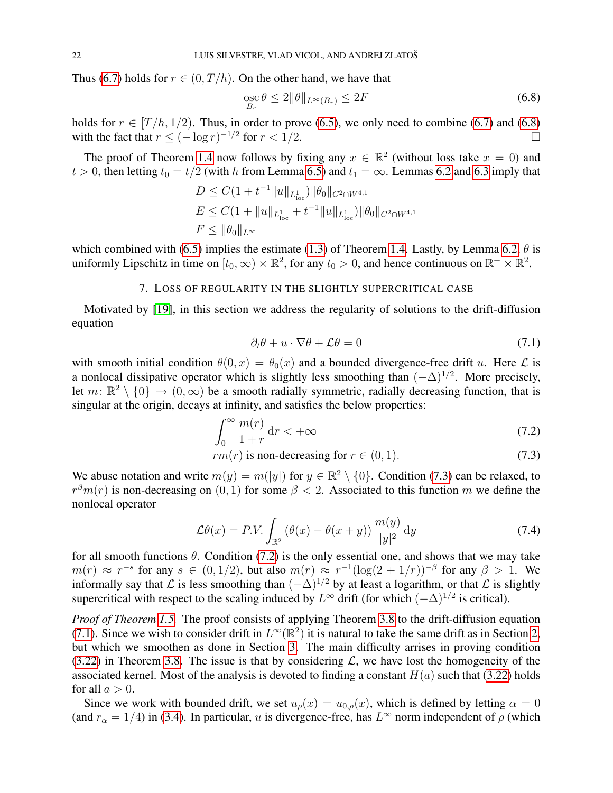Thus [\(6.7\)](#page-20-1) holds for  $r \in (0, T/h)$ . On the other hand, we have that

<span id="page-21-1"></span>
$$
\underset{B_r}{\text{osc}} \theta \le 2 \|\theta\|_{L^\infty(B_r)} \le 2F \tag{6.8}
$$

holds for  $r \in [T/h, 1/2)$ . Thus, in order to prove [\(6.5\)](#page-20-3), we only need to combine [\(6.7\)](#page-20-1) and [\(6.8\)](#page-21-1) with the fact that  $r \leq (-\log r)^{-1/2}$  for  $r < 1/2$ .

The proof of Theorem [1.4](#page-2-3) now follows by fixing any  $x \in \mathbb{R}^2$  (without loss take  $x = 0$ ) and  $t > 0$ , then letting  $t_0 = t/2$  (with h from Lemma [6.5\)](#page-18-1) and  $t_1 = \infty$ . Lemmas [6.2](#page-17-0) and [6.3](#page-18-0) imply that

$$
D \leq C(1 + t^{-1} ||u||_{L^1_{loc}}) ||\theta_0||_{C^2 \cap W^{4,1}}
$$
  
\n
$$
E \leq C(1 + ||u||_{L^1_{loc}} + t^{-1} ||u||_{L^1_{loc}}) ||\theta_0||_{C^2 \cap W^{4,1}}
$$
  
\n
$$
F \leq ||\theta_0||_{L^{\infty}}
$$

which combined with [\(6.5\)](#page-20-3) implies the estimate [\(1.3\)](#page-3-0) of Theorem [1.4.](#page-2-3) Lastly, by Lemma [6.2,](#page-17-0)  $\theta$  is uniformly Lipschitz in time on  $[t_0, \infty) \times \mathbb{R}^2$ , for any  $t_0 > 0$ , and hence continuous on  $\mathbb{R}^+ \times \mathbb{R}^2$ .

# 7. LOSS OF REGULARITY IN THE SLIGHTLY SUPERCRITICAL CASE

<span id="page-21-0"></span>Motivated by [\[19\]](#page-25-19), in this section we address the regularity of solutions to the drift-diffusion equation

<span id="page-21-4"></span><span id="page-21-3"></span><span id="page-21-2"></span>
$$
\partial_t \theta + u \cdot \nabla \theta + \mathcal{L}\theta = 0 \tag{7.1}
$$

with smooth initial condition  $\theta(0, x) = \theta_0(x)$  and a bounded divergence-free drift u. Here  $\mathcal L$  is a nonlocal dissipative operator which is slightly less smoothing than  $(-\Delta)^{1/2}$ . More precisely, let  $m: \mathbb{R}^2 \setminus \{0\} \to (0,\infty)$  be a smooth radially symmetric, radially decreasing function, that is singular at the origin, decays at infinity, and satisfies the below properties:

$$
\int_0^\infty \frac{m(r)}{1+r} \, \mathrm{d}r < +\infty \tag{7.2}
$$

 $rm(r)$  is non-decreasing for  $r \in (0, 1)$ . (7.3)

We abuse notation and write  $m(y) = m(|y|)$  for  $y \in \mathbb{R}^2 \setminus \{0\}$ . Condition [\(7.3\)](#page-21-2) can be relaxed, to  $r<sup>\beta</sup>m(r)$  is non-decreasing on  $(0, 1)$  for some  $\beta < 2$ . Associated to this function m we define the nonlocal operator

$$
\mathcal{L}\theta(x) = P.V. \int_{\mathbb{R}^2} \left(\theta(x) - \theta(x+y)\right) \frac{m(y)}{|y|^2} dy \tag{7.4}
$$

for all smooth functions  $\theta$ . Condition [\(7.2\)](#page-21-3) is the only essential one, and shows that we may take  $m(r) \approx r^{-s}$  for any  $s \in (0, 1/2)$ , but also  $m(r) \approx r^{-1}(\log(2 + 1/r))^{-\beta}$  for any  $\beta > 1$ . We informally say that L is less smoothing than  $(-\Delta)^{1/2}$  by at least a logarithm, or that L is slightly supercritical with respect to the scaling induced by  $L^{\infty}$  drift (for which  $(-\Delta)^{1/2}$  is critical).

*Proof of Theorem [1.5.](#page-3-3)* The proof consists of applying Theorem [3.8](#page-12-1) to the drift-diffusion equation [\(7.1\)](#page-21-4). Since we wish to consider drift in  $L^{\infty}(\mathbb{R}^2)$  it is natural to take the same drift as in Section [2,](#page-4-0) but which we smoothen as done in Section [3.](#page-6-0) The main difficulty arrises in proving condition [\(3.22\)](#page-12-2) in Theorem [3.8.](#page-12-1) The issue is that by considering  $\mathcal{L}$ , we have lost the homogeneity of the associated kernel. Most of the analysis is devoted to finding a constant  $H(a)$  such that [\(3.22\)](#page-12-2) holds for all  $a > 0$ .

Since we work with bounded drift, we set  $u_{\rho}(x) = u_{0,\rho}(x)$ , which is defined by letting  $\alpha = 0$ (and  $r_{\alpha} = 1/4$ ) in [\(3.4\)](#page-7-0). In particular, u is divergence-free, has  $L^{\infty}$  norm independent of  $\rho$  (which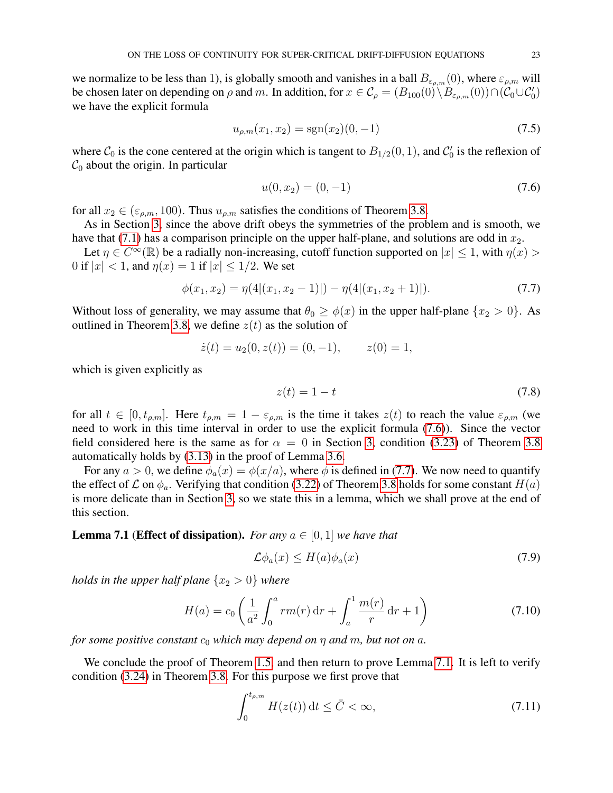we normalize to be less than 1), is globally smooth and vanishes in a ball  $B_{\varepsilon_{\rho,m}}(0)$ , where  $\varepsilon_{\rho,m}$  will be chosen later on depending on  $\rho$  and m. In addition, for  $x \in C_\rho = (B_{100}(0) \setminus B_{\varepsilon_{\rho,m}}(0)) \cap (C_0 \cup C'_0)$ we have the explicit formula

$$
u_{\rho,m}(x_1, x_2) = \text{sgn}(x_2)(0, -1) \tag{7.5}
$$

where  $C_0$  is the cone centered at the origin which is tangent to  $B_{1/2}(0, 1)$ , and  $C'_0$  is the reflexion of  $\mathcal{C}_0$  about the origin. In particular

<span id="page-22-0"></span>
$$
u(0, x_2) = (0, -1) \tag{7.6}
$$

for all  $x_2 \in (\varepsilon_{\rho,m}, 100)$ . Thus  $u_{\rho,m}$  satisfies the conditions of Theorem [3.8.](#page-12-1)

As in Section [3,](#page-6-0) since the above drift obeys the symmetries of the problem and is smooth, we have that [\(7.1\)](#page-21-4) has a comparison principle on the upper half-plane, and solutions are odd in  $x_2$ .

Let  $\eta \in C^{\infty}(\mathbb{R})$  be a radially non-increasing, cutoff function supported on  $|x| \leq 1$ , with  $\eta(x)$ 0 if  $|x| < 1$ , and  $\eta(x) = 1$  if  $|x| < 1/2$ . We set

$$
\phi(x_1, x_2) = \eta(4|(x_1, x_2 - 1)|) - \eta(4|(x_1, x_2 + 1)|). \tag{7.7}
$$

Without loss of generality, we may assume that  $\theta_0 \ge \phi(x)$  in the upper half-plane  $\{x_2 > 0\}$ . As outlined in Theorem [3.8,](#page-12-1) we define  $z(t)$  as the solution of

$$
\dot{z}(t) = u_2(0, z(t)) = (0, -1), \qquad z(0) = 1,
$$

which is given explicitly as

<span id="page-22-4"></span><span id="page-22-1"></span>
$$
z(t) = 1 - t \tag{7.8}
$$

for all  $t \in [0, t_{\rho,m}]$ . Here  $t_{\rho,m} = 1 - \varepsilon_{\rho,m}$  is the time it takes  $z(t)$  to reach the value  $\varepsilon_{\rho,m}$  (we need to work in this time interval in order to use the explicit formula [\(7.6\)](#page-22-0)). Since the vector field considered here is the same as for  $\alpha = 0$  in Section [3,](#page-6-0) condition [\(3.23\)](#page-12-3) of Theorem [3.8](#page-12-1) automatically holds by [\(3.13\)](#page-10-1) in the proof of Lemma [3.6.](#page-10-0)

For any  $a > 0$ , we define  $\phi_a(x) = \phi(x/a)$ , where  $\phi$  is defined in [\(7.7\)](#page-22-1). We now need to quantify the effect of  $\mathcal L$  on  $\phi_a$ . Verifying that condition [\(3.22\)](#page-12-2) of Theorem [3.8](#page-12-1) holds for some constant  $H(a)$ is more delicate than in Section [3,](#page-6-0) so we state this in a lemma, which we shall prove at the end of this section.

## <span id="page-22-2"></span>**Lemma 7.1** (**Effect of dissipation**). *For any*  $a \in [0, 1]$  *we have that*

<span id="page-22-6"></span><span id="page-22-5"></span>
$$
\mathcal{L}\phi_a(x) \le H(a)\phi_a(x) \tag{7.9}
$$

*holds in the upper half plane*  $\{x_2 > 0\}$  *where* 

$$
H(a) = c_0 \left(\frac{1}{a^2} \int_0^a r m(r) dr + \int_a^1 \frac{m(r)}{r} dr + 1\right)
$$
 (7.10)

*for some positive constant*  $c_0$  *which may depend on*  $\eta$  *and*  $m$ *, but not on*  $a$ *.* 

We conclude the proof of Theorem [1.5,](#page-3-3) and then return to prove Lemma [7.1.](#page-22-2) It is left to verify condition [\(3.24\)](#page-12-4) in Theorem [3.8.](#page-12-1) For this purpose we first prove that

<span id="page-22-3"></span>
$$
\int_0^{t_{\rho,m}} H(z(t)) \, \mathrm{d}t \le \bar{C} < \infty,\tag{7.11}
$$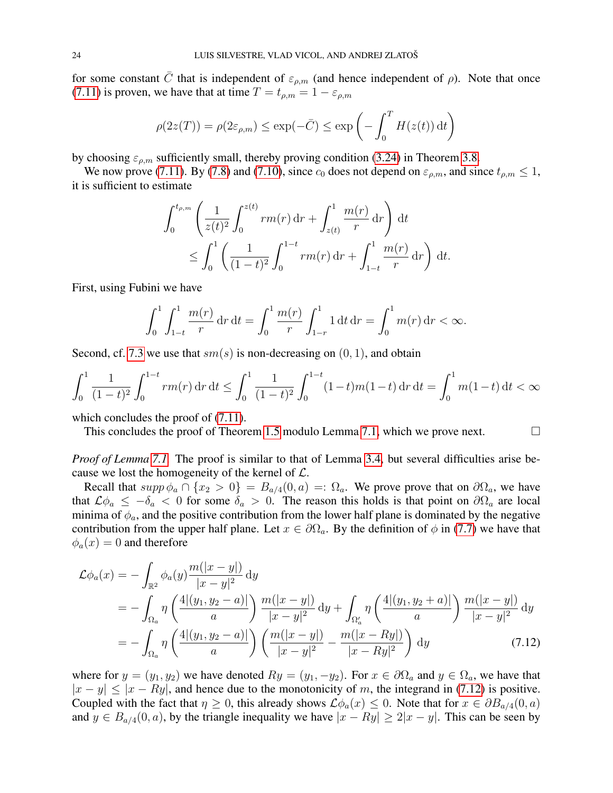for some constant  $\bar{C}$  that is independent of  $\varepsilon_{\rho,m}$  (and hence independent of  $\rho$ ). Note that once [\(7.11\)](#page-22-3) is proven, we have that at time  $T = t_{\rho,m} = 1 - \varepsilon_{\rho,m}$ 

$$
\rho(2z(T)) = \rho(2\varepsilon_{\rho,m}) \le \exp(-\bar{C}) \le \exp\left(-\int_0^T H(z(t)) dt\right)
$$

by choosing  $\varepsilon_{\rho,m}$  sufficiently small, thereby proving condition [\(3.24\)](#page-12-4) in Theorem [3.8.](#page-12-1)

We now prove [\(7.11\)](#page-22-3). By [\(7.8\)](#page-22-4) and [\(7.10\)](#page-22-5), since  $c_0$  does not depend on  $\varepsilon_{\rho,m}$ , and since  $t_{\rho,m} \leq 1$ , it is sufficient to estimate

$$
\int_0^{t_{\rho,m}} \left( \frac{1}{z(t)^2} \int_0^{z(t)} r m(r) dr + \int_{z(t)}^1 \frac{m(r)}{r} dr \right) dt
$$
  
 
$$
\leq \int_0^1 \left( \frac{1}{(1-t)^2} \int_0^{1-t} r m(r) dr + \int_{1-t}^1 \frac{m(r)}{r} dr \right) dt.
$$

First, using Fubini we have

$$
\int_0^1 \int_{1-t}^1 \frac{m(r)}{r} dr dt = \int_0^1 \frac{m(r)}{r} \int_{1-r}^1 1 dt dr = \int_0^1 m(r) dr < \infty.
$$

Second, cf. [7.3](#page-21-2) we use that  $sm(s)$  is non-decreasing on  $(0, 1)$ , and obtain

$$
\int_0^1 \frac{1}{(1-t)^2} \int_0^{1-t} r m(r) dr dt \le \int_0^1 \frac{1}{(1-t)^2} \int_0^{1-t} (1-t) m (1-t) dr dt = \int_0^1 m (1-t) dt < \infty
$$

which concludes the proof of  $(7.11)$ .

This concludes the proof of Theorem [1.5](#page-3-3) modulo Lemma [7.1,](#page-22-2) which we prove next.  $\Box$ 

*Proof of Lemma* [7.1.](#page-22-2) The proof is similar to that of Lemma [3.4,](#page-9-0) but several difficulties arise because we lost the homogeneity of the kernel of  $\mathcal{L}$ .

Recall that  $supp \phi_a \cap \{x_2 > 0\} = B_{a/4}(0, a) =: \Omega_a$ . We prove prove that on  $\partial \Omega_a$ , we have that  $\mathcal{L}\phi_a \leq -\delta_a < 0$  for some  $\delta_a > 0$ . The reason this holds is that point on  $\partial\Omega_a$  are local minima of  $\phi_a$ , and the positive contribution from the lower half plane is dominated by the negative contribution from the upper half plane. Let  $x \in \partial\Omega_a$ . By the definition of  $\phi$  in [\(7.7\)](#page-22-1) we have that  $\phi_a(x) = 0$  and therefore

<span id="page-23-0"></span>
$$
\mathcal{L}\phi_a(x) = -\int_{\mathbb{R}^2} \phi_a(y) \frac{m(|x-y|)}{|x-y|^2} dy
$$
  
= 
$$
-\int_{\Omega_a} \eta \left( \frac{4|(y_1, y_2 - a)|}{a} \right) \frac{m(|x-y|)}{|x-y|^2} dy + \int_{\Omega'_a} \eta \left( \frac{4|(y_1, y_2 + a)|}{a} \right) \frac{m(|x-y|)}{|x-y|^2} dy
$$
  
= 
$$
-\int_{\Omega_a} \eta \left( \frac{4|(y_1, y_2 - a)|}{a} \right) \left( \frac{m(|x-y|)}{|x-y|^2} - \frac{m(|x-Ry|)}{|x-Ry|^2} \right) dy
$$
(7.12)

where for  $y = (y_1, y_2)$  we have denoted  $Ry = (y_1, -y_2)$ . For  $x \in \partial\Omega_a$  and  $y \in \Omega_a$ , we have that  $|x - y| \le |x - Ry|$ , and hence due to the monotonicity of m, the integrand in [\(7.12\)](#page-23-0) is positive. Coupled with the fact that  $\eta \geq 0$ , this already shows  $\mathcal{L}\phi_a(x) \leq 0$ . Note that for  $x \in \partial B_{a/4}(0, a)$ and  $y \in B_{a/4}(0, a)$ , by the triangle inequality we have  $|x - Ry| \ge 2|x - y|$ . This can be seen by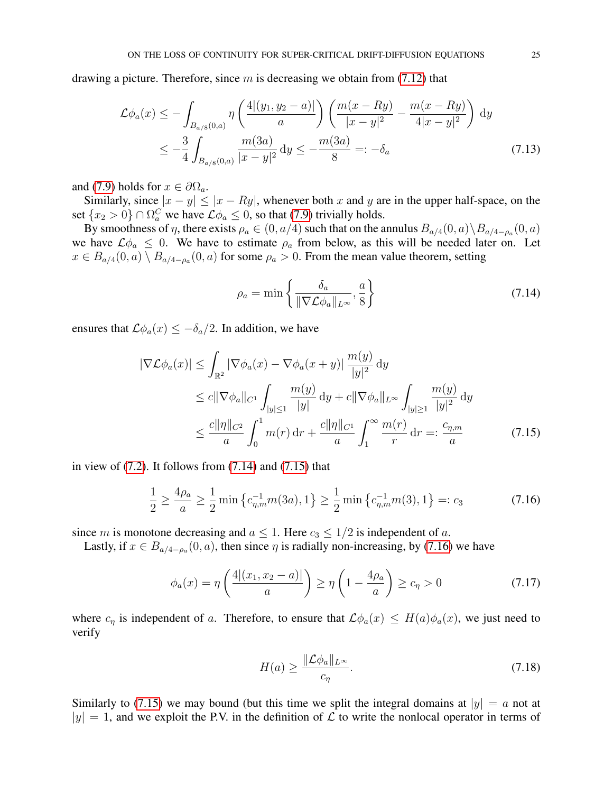drawing a picture. Therefore, since  $m$  is decreasing we obtain from [\(7.12\)](#page-23-0) that

$$
\mathcal{L}\phi_a(x) \le -\int_{B_{a/8}(0,a)} \eta\left(\frac{4|(y_1, y_2 - a)|}{a}\right) \left(\frac{m(x - Ry)}{|x - y|^2} - \frac{m(x - Ry)}{4|x - y|^2}\right) dy
$$
  

$$
\le -\frac{3}{4} \int_{B_{a/8}(0,a)} \frac{m(3a)}{|x - y|^2} dy \le -\frac{m(3a)}{8} =: -\delta_a
$$
 (7.13)

and [\(7.9\)](#page-22-6) holds for  $x \in \partial \Omega_a$ .

Similarly, since  $|x - y| \le |x - Ry|$ , whenever both x and y are in the upper half-space, on the set  $\{x_2 > 0\} \cap \Omega_a^C$  we have  $\mathcal{L}\phi_a \leq 0$ , so that [\(7.9\)](#page-22-6) trivially holds.

By smoothness of  $\eta$ , there exists  $\rho_a \in (0, a/4)$  such that on the annulus  $B_{a/4}(0, a) \setminus B_{a/4-\rho_a}(0, a)$ we have  $\mathcal{L}\phi_a \leq 0$ . We have to estimate  $\rho_a$  from below, as this will be needed later on. Let  $x \in B_{a/4}(0, a) \setminus B_{a/4-\rho_a}(0, a)$  for some  $\rho_a > 0$ . From the mean value theorem, setting

<span id="page-24-1"></span><span id="page-24-0"></span>
$$
\rho_a = \min\left\{\frac{\delta_a}{\|\nabla \mathcal{L}\phi_a\|_{L^\infty}}, \frac{a}{8}\right\} \tag{7.14}
$$

ensures that  $\mathcal{L}\phi_a(x) \leq -\delta_a/2$ . In addition, we have

$$
|\nabla \mathcal{L}\phi_a(x)| \leq \int_{\mathbb{R}^2} |\nabla \phi_a(x) - \nabla \phi_a(x+y)| \frac{m(y)}{|y|^2} dy
$$
  
\n
$$
\leq c \|\nabla \phi_a\|_{C^1} \int_{|y| \leq 1} \frac{m(y)}{|y|} dy + c \|\nabla \phi_a\|_{L^\infty} \int_{|y| \geq 1} \frac{m(y)}{|y|^2} dy
$$
  
\n
$$
\leq \frac{c \|\eta\|_{C^2}}{a} \int_0^1 m(r) dr + \frac{c \|\eta\|_{C^1}}{a} \int_1^\infty \frac{m(r)}{r} dr =: \frac{c_{\eta,m}}{a} \tag{7.15}
$$

in view of  $(7.2)$ . It follows from  $(7.14)$  and  $(7.15)$  that

$$
\frac{1}{2} \ge \frac{4\rho_a}{a} \ge \frac{1}{2} \min \left\{ c_{\eta,m}^{-1} m(3a), 1 \right\} \ge \frac{1}{2} \min \left\{ c_{\eta,m}^{-1} m(3), 1 \right\} =: c_3 \tag{7.16}
$$

since m is monotone decreasing and  $a \leq 1$ . Here  $c_3 \leq 1/2$  is independent of a.

Lastly, if  $x \in B_{a/4-\rho_a}(0, a)$ , then since  $\eta$  is radially non-increasing, by [\(7.16\)](#page-24-2) we have

$$
\phi_a(x) = \eta \left( \frac{4 |(x_1, x_2 - a)|}{a} \right) \ge \eta \left( 1 - \frac{4\rho_a}{a} \right) \ge c_\eta > 0 \tag{7.17}
$$

where  $c_{\eta}$  is independent of a. Therefore, to ensure that  $\mathcal{L}\phi_a(x) \leq H(a)\phi_a(x)$ , we just need to verify

<span id="page-24-3"></span><span id="page-24-2"></span>
$$
H(a) \ge \frac{\|\mathcal{L}\phi_a\|_{L^\infty}}{c_\eta}.\tag{7.18}
$$

Similarly to [\(7.15\)](#page-24-1) we may bound (but this time we split the integral domains at  $|y| = a$  not at  $|y| = 1$ , and we exploit the P.V. in the definition of  $\mathcal L$  to write the nonlocal operator in terms of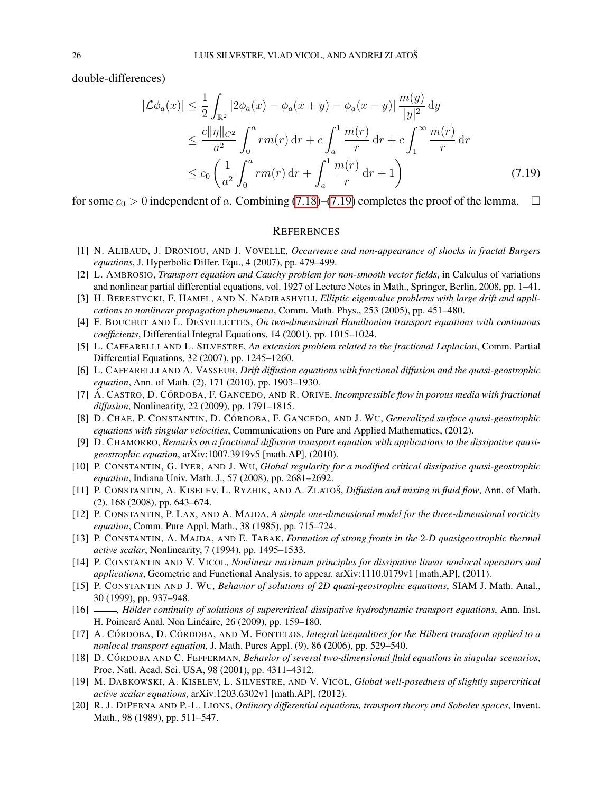double-differences)

$$
|\mathcal{L}\phi_a(x)| \leq \frac{1}{2} \int_{\mathbb{R}^2} |2\phi_a(x) - \phi_a(x+y) - \phi_a(x-y)| \frac{m(y)}{|y|^2} dy
$$
  
\n
$$
\leq \frac{c||\eta||_{C^2}}{a^2} \int_0^a r m(r) dr + c \int_a^1 \frac{m(r)}{r} dr + c \int_1^\infty \frac{m(r)}{r} dr
$$
  
\n
$$
\leq c_0 \left(\frac{1}{a^2} \int_0^a r m(r) dr + \int_a^1 \frac{m(r)}{r} dr + 1\right)
$$
(7.19)

for some  $c_0 > 0$  independent of a. Combining [\(7.18\)](#page-24-3)–[\(7.19\)](#page-25-20) completes the proof of the lemma.  $\Box$ 

### <span id="page-25-20"></span>**REFERENCES**

- <span id="page-25-5"></span>[1] N. ALIBAUD, J. DRONIOU, AND J. VOVELLE, *Occurrence and non-appearance of shocks in fractal Burgers equations*, J. Hyperbolic Differ. Equ., 4 (2007), pp. 479–499.
- <span id="page-25-8"></span>[2] L. AMBROSIO, *Transport equation and Cauchy problem for non-smooth vector fields*, in Calculus of variations and nonlinear partial differential equations, vol. 1927 of Lecture Notes in Math., Springer, Berlin, 2008, pp. 1–41.
- <span id="page-25-12"></span>[3] H. BERESTYCKI, F. HAMEL, AND N. NADIRASHVILI, *Elliptic eigenvalue problems with large drift and applications to nonlinear propagation phenomena*, Comm. Math. Phys., 253 (2005), pp. 451–480.
- <span id="page-25-11"></span>[4] F. BOUCHUT AND L. DESVILLETTES, *On two-dimensional Hamiltonian transport equations with continuous coefficients*, Differential Integral Equations, 14 (2001), pp. 1015–1024.
- <span id="page-25-17"></span>[5] L. CAFFARELLI AND L. SILVESTRE, *An extension problem related to the fractional Laplacian*, Comm. Partial Differential Equations, 32 (2007), pp. 1245–1260.
- <span id="page-25-14"></span>[6] L. CAFFARELLI AND A. VASSEUR, *Drift diffusion equations with fractional diffusion and the quasi-geostrophic equation*, Ann. of Math. (2), 171 (2010), pp. 1903–1930.
- <span id="page-25-2"></span>[7] A. CASTRO, D. CÓRDOBA, F. GANCEDO, AND R. ORIVE, *Incompressible flow in porous media with fractional diffusion*, Nonlinearity, 22 (2009), pp. 1791–1815.
- <span id="page-25-3"></span>[8] D. CHAE, P. CONSTANTIN, D. CÓRDOBA, F. GANCEDO, AND J. WU, *Generalized surface quasi-geostrophic equations with singular velocities*, Communications on Pure and Applied Mathematics, (2012).
- <span id="page-25-18"></span>[9] D. CHAMORRO, *Remarks on a fractional diffusion transport equation with applications to the dissipative quasigeostrophic equation*, arXiv:1007.3919v5 [math.AP], (2010).
- <span id="page-25-4"></span>[10] P. CONSTANTIN, G. IYER, AND J. WU, *Global regularity for a modified critical dissipative quasi-geostrophic equation*, Indiana Univ. Math. J., 57 (2008), pp. 2681–2692.
- <span id="page-25-13"></span>[11] P. CONSTANTIN, A. KISELEV, L. RYZHIK, AND A. ZLATOŠ, *Diffusion and mixing in fluid flow*, Ann. of Math. (2), 168 (2008), pp. 643–674.
- <span id="page-25-6"></span>[12] P. CONSTANTIN, P. LAX, AND A. MAJDA, *A simple one-dimensional model for the three-dimensional vorticity equation*, Comm. Pure Appl. Math., 38 (1985), pp. 715–724.
- <span id="page-25-0"></span>[13] P. CONSTANTIN, A. MAJDA, AND E. TABAK, *Formation of strong fronts in the* 2*-D quasigeostrophic thermal active scalar*, Nonlinearity, 7 (1994), pp. 1495–1533.
- <span id="page-25-15"></span>[14] P. CONSTANTIN AND V. VICOL, *Nonlinear maximum principles for dissipative linear nonlocal operators and applications*, Geometric and Functional Analysis, to appear. arXiv:1110.0179v1 [math.AP], (2011).
- <span id="page-25-1"></span>[15] P. CONSTANTIN AND J. WU, *Behavior of solutions of 2D quasi-geostrophic equations*, SIAM J. Math. Anal., 30 (1999), pp. 937–948.
- <span id="page-25-16"></span>[16] - *Hölder continuity of solutions of supercritical dissipative hydrodynamic transport equations*, Ann. Inst. H. Poincaré Anal. Non Linéaire, 26 (2009), pp. 159-180.
- <span id="page-25-7"></span>[17] A. CÓRDOBA, D. CÓRDOBA, AND M. FONTELOS, *Integral inequalities for the Hilbert transform applied to a nonlocal transport equation*, J. Math. Pures Appl. (9), 86 (2006), pp. 529–540.
- <span id="page-25-10"></span>[18] D. CÓRDOBA AND C. FEFFERMAN, *Behavior of several two-dimensional fluid equations in singular scenarios*, Proc. Natl. Acad. Sci. USA, 98 (2001), pp. 4311–4312.
- <span id="page-25-19"></span>[19] M. DABKOWSKI, A. KISELEV, L. SILVESTRE, AND V. VICOL, *Global well-posedness of slightly supercritical active scalar equations*, arXiv:1203.6302v1 [math.AP], (2012).
- <span id="page-25-9"></span>[20] R. J. DIPERNA AND P.-L. LIONS, *Ordinary differential equations, transport theory and Sobolev spaces*, Invent. Math., 98 (1989), pp. 511–547.